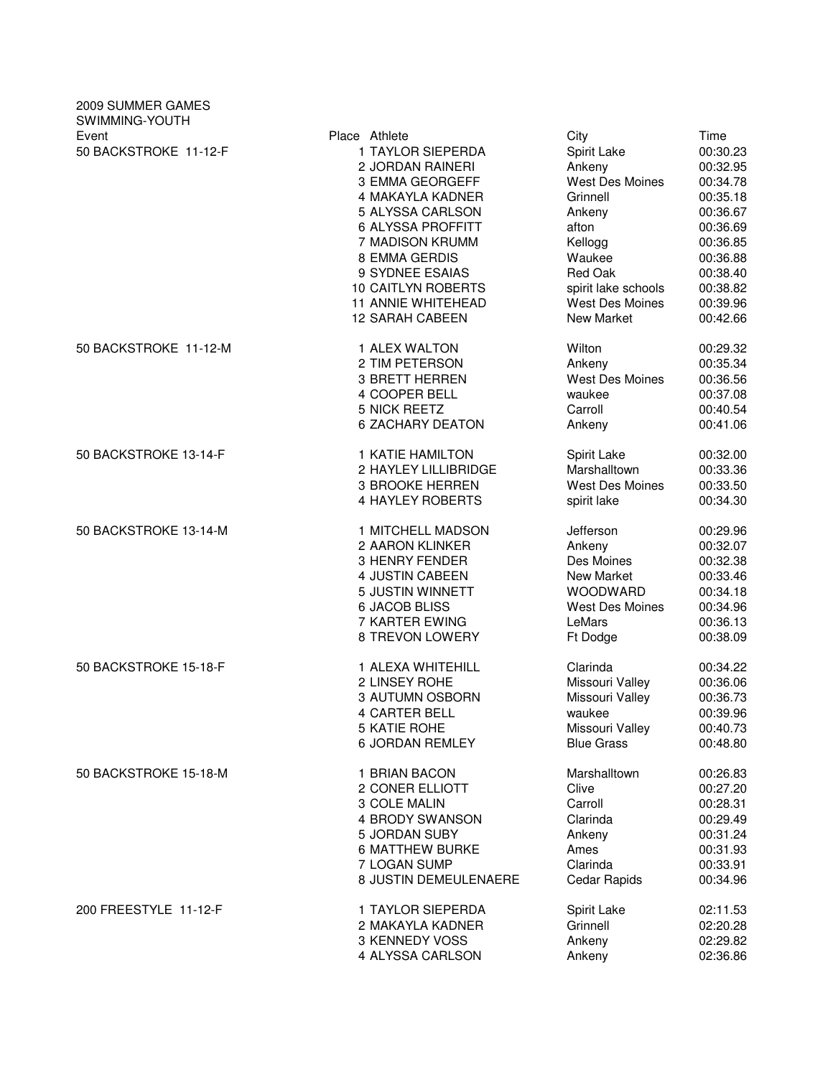| 2009 SUMMER GAMES<br>SWIMMING-YOUTH |                           |                        |          |
|-------------------------------------|---------------------------|------------------------|----------|
| Event                               | Place Athlete             | City                   | Time     |
| 50 BACKSTROKE 11-12-F               | 1 TAYLOR SIEPERDA         | Spirit Lake            | 00:30.23 |
|                                     | 2 JORDAN RAINERI          | Ankeny                 | 00:32.95 |
|                                     | 3 EMMA GEORGEFF           | West Des Moines        | 00:34.78 |
|                                     | 4 MAKAYLA KADNER          | Grinnell               | 00:35.18 |
|                                     | 5 ALYSSA CARLSON          | Ankeny                 | 00:36.67 |
|                                     | <b>6 ALYSSA PROFFITT</b>  | afton                  | 00:36.69 |
|                                     |                           |                        |          |
|                                     | 7 MADISON KRUMM           | Kellogg                | 00:36.85 |
|                                     | 8 EMMA GERDIS             | Waukee                 | 00:36.88 |
|                                     | 9 SYDNEE ESAIAS           | Red Oak                | 00:38.40 |
|                                     | <b>10 CAITLYN ROBERTS</b> | spirit lake schools    | 00:38.82 |
|                                     | <b>11 ANNIE WHITEHEAD</b> | <b>West Des Moines</b> | 00:39.96 |
|                                     | <b>12 SARAH CABEEN</b>    | New Market             | 00:42.66 |
| 50 BACKSTROKE 11-12-M               | 1 ALEX WALTON             | Wilton                 | 00:29.32 |
|                                     | 2 TIM PETERSON            | Ankeny                 | 00:35.34 |
|                                     | <b>3 BRETT HERREN</b>     | West Des Moines        | 00:36.56 |
|                                     | 4 COOPER BELL             | waukee                 | 00:37.08 |
|                                     | 5 NICK REETZ              | Carroll                | 00:40.54 |
|                                     | 6 ZACHARY DEATON          | Ankeny                 | 00:41.06 |
| 50 BACKSTROKE 13-14-F               | 1 KATIE HAMILTON          | Spirit Lake            | 00:32.00 |
|                                     | 2 HAYLEY LILLIBRIDGE      | Marshalltown           | 00:33.36 |
|                                     | 3 BROOKE HERREN           | West Des Moines        | 00:33.50 |
|                                     | <b>4 HAYLEY ROBERTS</b>   | spirit lake            | 00:34.30 |
| 50 BACKSTROKE 13-14-M               | 1 MITCHELL MADSON         | Jefferson              | 00:29.96 |
|                                     | 2 AARON KLINKER           | Ankeny                 | 00:32.07 |
|                                     | 3 HENRY FENDER            | Des Moines             | 00:32.38 |
|                                     | 4 JUSTIN CABEEN           | New Market             | 00:33.46 |
|                                     | 5 JUSTIN WINNETT          | <b>WOODWARD</b>        | 00:34.18 |
|                                     | <b>6 JACOB BLISS</b>      | West Des Moines        | 00:34.96 |
|                                     | 7 KARTER EWING            | LeMars                 | 00:36.13 |
|                                     | 8 TREVON LOWERY           | Ft Dodge               | 00:38.09 |
| 50 BACKSTROKE 15-18-F               | 1 ALEXA WHITEHILL         | Clarinda               | 00:34.22 |
|                                     | 2 LINSEY ROHE             | Missouri Valley        | 00:36.06 |
|                                     | 3 AUTUMN OSBORN           | Missouri Valley        | 00:36.73 |
|                                     |                           |                        |          |
|                                     | 4 CARTER BELL             | waukee                 | 00:39.96 |
|                                     | 5 KATIE ROHE              | Missouri Valley        | 00:40.73 |
|                                     | <b>6 JORDAN REMLEY</b>    | <b>Blue Grass</b>      | 00:48.80 |
| 50 BACKSTROKE 15-18-M               | 1 BRIAN BACON             | Marshalltown           | 00:26.83 |
|                                     | 2 CONER ELLIOTT           | Clive                  | 00:27.20 |
|                                     | 3 COLE MALIN              | Carroll                | 00:28.31 |
|                                     | 4 BRODY SWANSON           | Clarinda               | 00:29.49 |
|                                     | 5 JORDAN SUBY             | Ankeny                 | 00:31.24 |
|                                     | <b>6 MATTHEW BURKE</b>    | Ames                   | 00:31.93 |
|                                     | 7 LOGAN SUMP              | Clarinda               | 00:33.91 |
|                                     | 8 JUSTIN DEMEULENAERE     | Cedar Rapids           | 00:34.96 |
| 200 FREESTYLE 11-12-F               | 1 TAYLOR SIEPERDA         | Spirit Lake            | 02:11.53 |
|                                     | 2 MAKAYLA KADNER          | Grinnell               | 02:20.28 |
|                                     | 3 KENNEDY VOSS            | Ankeny                 | 02:29.82 |
|                                     | 4 ALYSSA CARLSON          | Ankeny                 | 02:36.86 |
|                                     |                           |                        |          |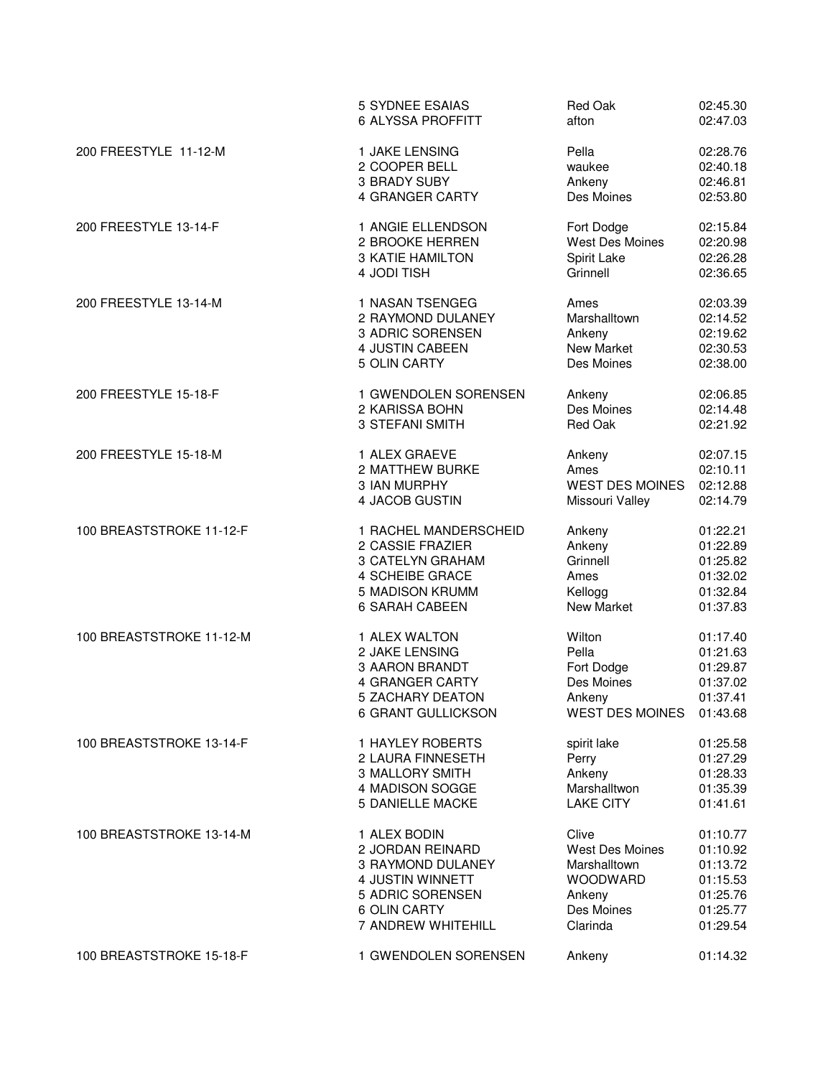|                          | <b>5 SYDNEE ESAIAS</b>  | Red Oak                | 02:45.30 |
|--------------------------|-------------------------|------------------------|----------|
|                          | 6 ALYSSA PROFFITT       | afton                  | 02:47.03 |
| 200 FREESTYLE 11-12-M    | 1 JAKE LENSING          | Pella                  | 02:28.76 |
|                          | 2 COOPER BELL           | waukee                 | 02:40.18 |
|                          | 3 BRADY SUBY            | Ankeny                 | 02:46.81 |
|                          | 4 GRANGER CARTY         | Des Moines             | 02:53.80 |
| 200 FREESTYLE 13-14-F    | 1 ANGIE ELLENDSON       | Fort Dodge             | 02:15.84 |
|                          | 2 BROOKE HERREN         | West Des Moines        | 02:20.98 |
|                          | <b>3 KATIE HAMILTON</b> | Spirit Lake            | 02:26.28 |
|                          | 4 JODI TISH             | Grinnell               | 02:36.65 |
| 200 FREESTYLE 13-14-M    | 1 NASAN TSENGEG         | Ames                   | 02:03.39 |
|                          | 2 RAYMOND DULANEY       | Marshalltown           | 02:14.52 |
|                          | 3 ADRIC SORENSEN        | Ankeny                 | 02:19.62 |
|                          | 4 JUSTIN CABEEN         | New Market             | 02:30.53 |
|                          | 5 OLIN CARTY            | Des Moines             | 02:38.00 |
| 200 FREESTYLE 15-18-F    | 1 GWENDOLEN SORENSEN    | Ankeny                 | 02:06.85 |
|                          | 2 KARISSA BOHN          | Des Moines             | 02:14.48 |
|                          | 3 STEFANI SMITH         | Red Oak                | 02:21.92 |
| 200 FREESTYLE 15-18-M    | 1 ALEX GRAEVE           | Ankeny                 | 02:07.15 |
|                          | 2 MATTHEW BURKE         | Ames                   | 02:10.11 |
|                          | 3 IAN MURPHY            | <b>WEST DES MOINES</b> | 02:12.88 |
|                          | 4 JACOB GUSTIN          | Missouri Valley        | 02:14.79 |
| 100 BREASTSTROKE 11-12-F | 1 RACHEL MANDERSCHEID   | Ankeny                 | 01:22.21 |
|                          | 2 CASSIE FRAZIER        | Ankeny                 | 01:22.89 |
|                          | 3 CATELYN GRAHAM        | Grinnell               | 01:25.82 |
|                          | <b>4 SCHEIBE GRACE</b>  | Ames                   | 01:32.02 |
|                          | 5 MADISON KRUMM         | Kellogg                | 01:32.84 |
|                          | <b>6 SARAH CABEEN</b>   | <b>New Market</b>      | 01:37.83 |
| 100 BREASTSTROKE 11-12-M | 1 ALEX WALTON           | Wilton                 | 01:17.40 |
|                          | 2 JAKE LENSING          | Pella                  | 01:21.63 |
|                          | 3 AARON BRANDT          | Fort Dodge             | 01:29.87 |
|                          | 4 GRANGER CARTY         | Des Moines             | 01:37.02 |
|                          | 5 ZACHARY DEATON        | Ankeny                 | 01:37.41 |
|                          | 6 GRANT GULLICKSON      | <b>WEST DES MOINES</b> | 01:43.68 |
| 100 BREASTSTROKE 13-14-F | 1 HAYLEY ROBERTS        | spirit lake            | 01:25.58 |
|                          | 2 LAURA FINNESETH       | Perry                  | 01:27.29 |
|                          | 3 MALLORY SMITH         | Ankeny                 | 01:28.33 |
|                          | 4 MADISON SOGGE         | Marshalltwon           | 01:35.39 |
|                          | <b>5 DANIELLE MACKE</b> | <b>LAKE CITY</b>       | 01:41.61 |
| 100 BREASTSTROKE 13-14-M | 1 ALEX BODIN            | Clive                  | 01:10.77 |
|                          | 2 JORDAN REINARD        | West Des Moines        | 01:10.92 |
|                          | 3 RAYMOND DULANEY       | Marshalltown           | 01:13.72 |
|                          | 4 JUSTIN WINNETT        | WOODWARD               | 01:15.53 |
|                          | 5 ADRIC SORENSEN        | Ankeny                 | 01:25.76 |
|                          | 6 OLIN CARTY            | Des Moines             | 01:25.77 |
|                          | 7 ANDREW WHITEHILL      | Clarinda               | 01:29.54 |
| 100 BREASTSTROKE 15-18-F | 1 GWENDOLEN SORENSEN    | Ankeny                 | 01:14.32 |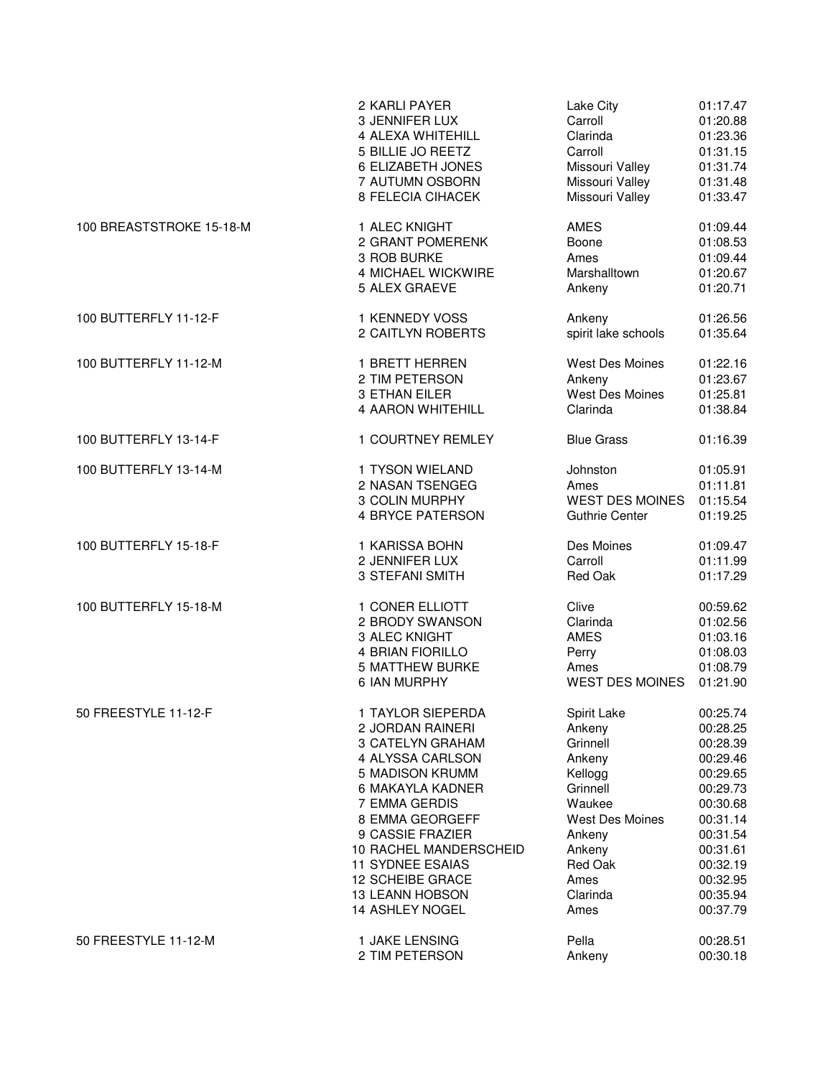|                          | 2 KARLI PAYER            | Lake City              | 01:17.47 |
|--------------------------|--------------------------|------------------------|----------|
|                          | 3 JENNIFER LUX           | Carroll                | 01:20.88 |
|                          | 4 ALEXA WHITEHILL        | Clarinda               | 01:23.36 |
|                          | 5 BILLIE JO REETZ        | Carroll                | 01:31.15 |
|                          | 6 ELIZABETH JONES        | Missouri Valley        | 01:31.74 |
|                          | 7 AUTUMN OSBORN          | Missouri Valley        | 01:31.48 |
|                          | <b>8 FELECIA CIHACEK</b> | Missouri Valley        | 01:33.47 |
| 100 BREASTSTROKE 15-18-M | 1 ALEC KNIGHT            | <b>AMES</b>            | 01:09.44 |
|                          | 2 GRANT POMERENK         | Boone                  | 01:08.53 |
|                          | 3 ROB BURKE              | Ames                   | 01:09.44 |
|                          | 4 MICHAEL WICKWIRE       | Marshalltown           | 01:20.67 |
|                          | 5 ALEX GRAEVE            | Ankeny                 | 01:20.71 |
| 100 BUTTERFLY 11-12-F    | 1 KENNEDY VOSS           | Ankeny                 | 01:26.56 |
|                          | 2 CAITLYN ROBERTS        | spirit lake schools    | 01:35.64 |
| 100 BUTTERFLY 11-12-M    | 1 BRETT HERREN           | West Des Moines        | 01:22.16 |
|                          | 2 TIM PETERSON           | Ankeny                 | 01:23.67 |
|                          | 3 ETHAN EILER            | West Des Moines        | 01:25.81 |
|                          | 4 AARON WHITEHILL        | Clarinda               | 01:38.84 |
| 100 BUTTERFLY 13-14-F    | 1 COURTNEY REMLEY        | <b>Blue Grass</b>      | 01:16.39 |
| 100 BUTTERFLY 13-14-M    | 1 TYSON WIELAND          | Johnston               | 01:05.91 |
|                          | 2 NASAN TSENGEG          | Ames                   | 01:11.81 |
|                          | 3 COLIN MURPHY           | <b>WEST DES MOINES</b> | 01:15.54 |
|                          | <b>4 BRYCE PATERSON</b>  | <b>Guthrie Center</b>  | 01:19.25 |
| 100 BUTTERFLY 15-18-F    | 1 KARISSA BOHN           | Des Moines             | 01:09.47 |
|                          | 2 JENNIFER LUX           | Carroll                | 01:11.99 |
|                          | 3 STEFANI SMITH          | Red Oak                | 01:17.29 |
| 100 BUTTERFLY 15-18-M    | 1 CONER ELLIOTT          | Clive                  | 00:59.62 |
|                          | 2 BRODY SWANSON          | Clarinda               | 01:02.56 |
|                          | 3 ALEC KNIGHT            | <b>AMES</b>            | 01:03.16 |
|                          | 4 BRIAN FIORILLO         | Perry                  | 01:08.03 |
|                          | <b>5 MATTHEW BURKE</b>   | Ames                   | 01:08.79 |
|                          | 6 IAN MURPHY             | <b>WEST DES MOINES</b> | 01:21.90 |
| 50 FREESTYLE 11-12-F     | 1 TAYLOR SIEPERDA        | Spirit Lake            | 00:25.74 |
|                          | 2 JORDAN RAINERI         | Ankeny                 | 00:28.25 |
|                          | <b>3 CATELYN GRAHAM</b>  | Grinnell               | 00:28.39 |
|                          | 4 ALYSSA CARLSON         | Ankeny                 | 00:29.46 |
|                          | 5 MADISON KRUMM          | Kellogg                | 00:29.65 |
|                          | 6 MAKAYLA KADNER         | Grinnell               | 00:29.73 |
|                          | 7 EMMA GERDIS            | Waukee                 | 00:30.68 |
|                          | 8 EMMA GEORGEFF          | <b>West Des Moines</b> | 00:31.14 |
|                          | 9 CASSIE FRAZIER         | Ankeny                 | 00:31.54 |
|                          | 10 RACHEL MANDERSCHEID   | Ankeny                 | 00:31.61 |
|                          | <b>11 SYDNEE ESAIAS</b>  | Red Oak                | 00:32.19 |
|                          | 12 SCHEIBE GRACE         | Ames                   | 00:32.95 |
|                          | <b>13 LEANN HOBSON</b>   | Clarinda               | 00:35.94 |
|                          | 14 ASHLEY NOGEL          | Ames                   | 00:37.79 |
| 50 FREESTYLE 11-12-M     | 1 JAKE LENSING           | Pella                  | 00:28.51 |
|                          | 2 TIM PETERSON           | Ankeny                 | 00:30.18 |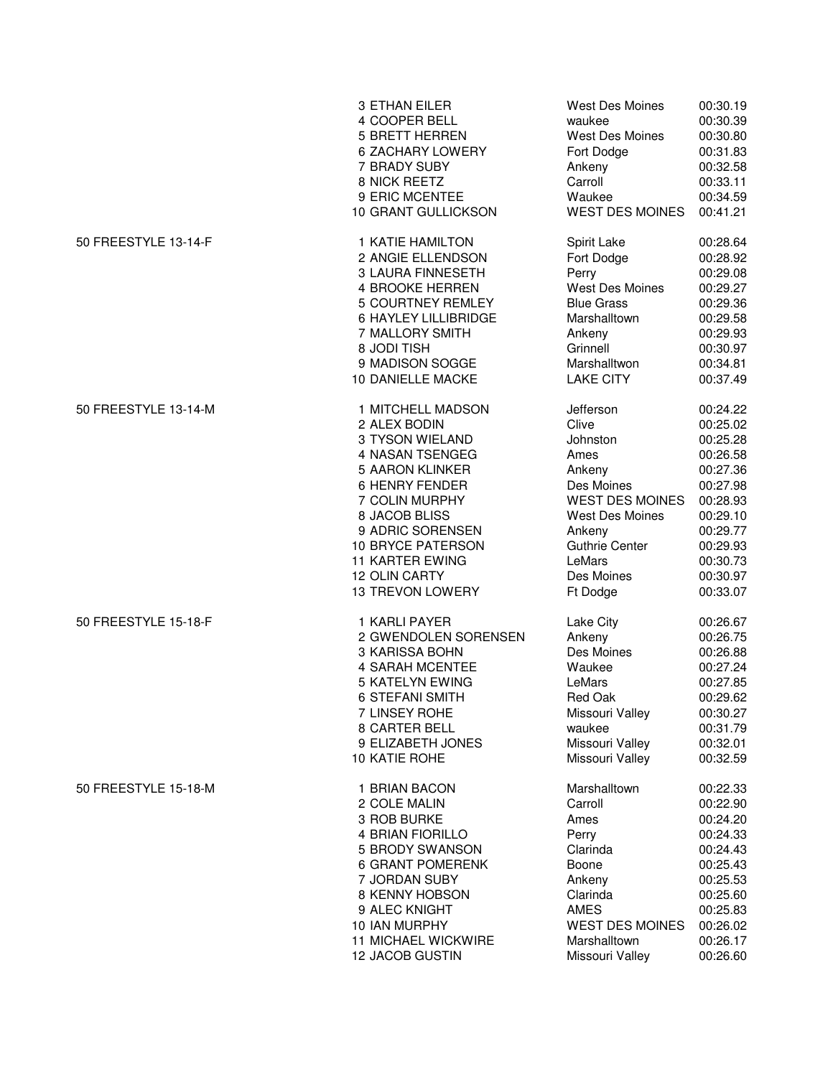|                      | 3 ETHAN EILER               | <b>West Des Moines</b> | 00:30.19 |
|----------------------|-----------------------------|------------------------|----------|
|                      | 4 COOPER BELL               | waukee                 | 00:30.39 |
|                      | <b>5 BRETT HERREN</b>       | <b>West Des Moines</b> | 00:30.80 |
|                      | <b>6 ZACHARY LOWERY</b>     | Fort Dodge             | 00:31.83 |
|                      | 7 BRADY SUBY                | Ankeny                 | 00:32.58 |
|                      | 8 NICK REETZ                | Carroll                | 00:33.11 |
|                      | 9 ERIC MCENTEE              | Waukee                 | 00:34.59 |
|                      | 10 GRANT GULLICKSON         | <b>WEST DES MOINES</b> | 00:41.21 |
| 50 FREESTYLE 13-14-F | 1 KATIE HAMILTON            | Spirit Lake            | 00:28.64 |
|                      | 2 ANGIE ELLENDSON           | Fort Dodge             | 00:28.92 |
|                      | <b>3 LAURA FINNESETH</b>    | Perry                  | 00:29.08 |
|                      | 4 BROOKE HERREN             | West Des Moines        | 00:29.27 |
|                      | 5 COURTNEY REMLEY           | <b>Blue Grass</b>      | 00:29.36 |
|                      | <b>6 HAYLEY LILLIBRIDGE</b> | Marshalltown           | 00:29.58 |
|                      | 7 MALLORY SMITH             | Ankeny                 | 00:29.93 |
|                      | 8 JODI TISH                 | Grinnell               | 00:30.97 |
|                      | 9 MADISON SOGGE             | Marshalltwon           | 00:34.81 |
|                      | 10 DANIELLE MACKE           | <b>LAKE CITY</b>       | 00:37.49 |
| 50 FREESTYLE 13-14-M | 1 MITCHELL MADSON           | Jefferson              | 00:24.22 |
|                      | 2 ALEX BODIN                | Clive                  | 00:25.02 |
|                      | 3 TYSON WIELAND             | Johnston               | 00:25.28 |
|                      | 4 NASAN TSENGEG             | Ames                   | 00:26.58 |
|                      | <b>5 AARON KLINKER</b>      | Ankeny                 | 00:27.36 |
|                      | <b>6 HENRY FENDER</b>       | Des Moines             | 00:27.98 |
|                      | 7 COLIN MURPHY              | <b>WEST DES MOINES</b> | 00:28.93 |
|                      | 8 JACOB BLISS               | West Des Moines        | 00:29.10 |
|                      | 9 ADRIC SORENSEN            | Ankeny                 | 00:29.77 |
|                      | 10 BRYCE PATERSON           | <b>Guthrie Center</b>  | 00:29.93 |
|                      | <b>11 KARTER EWING</b>      | LeMars                 | 00:30.73 |
|                      | <b>12 OLIN CARTY</b>        | Des Moines             | 00:30.97 |
|                      | <b>13 TREVON LOWERY</b>     | Ft Dodge               | 00:33.07 |
| 50 FREESTYLE 15-18-F | 1 KARLI PAYER               | Lake City              | 00:26.67 |
|                      | 2 GWENDOLEN SORENSEN        | Ankeny                 | 00:26.75 |
|                      | 3 KARISSA BOHN              | Des Moines             | 00:26.88 |
|                      | 4 SARAH MCENTEE             | Waukee                 | 00:27.24 |
|                      | 5 KATELYN EWING             | LeMars                 | 00:27.85 |
|                      | 6 STEFANI SMITH             | <b>Red Oak</b>         | 00:29.62 |
|                      | 7 LINSEY ROHE               | Missouri Valley        | 00:30.27 |
|                      | 8 CARTER BELL               | waukee                 | 00:31.79 |
|                      | 9 ELIZABETH JONES           | Missouri Valley        | 00:32.01 |
|                      | 10 KATIE ROHE               | Missouri Valley        | 00:32.59 |
| 50 FREESTYLE 15-18-M | 1 BRIAN BACON               | Marshalltown           | 00:22.33 |
|                      | 2 COLE MALIN                | Carroll                | 00:22.90 |
|                      | 3 ROB BURKE                 | Ames                   | 00:24.20 |
|                      | <b>4 BRIAN FIORILLO</b>     | Perry                  | 00:24.33 |
|                      | 5 BRODY SWANSON             | Clarinda               | 00:24.43 |
|                      | <b>6 GRANT POMERENK</b>     | Boone                  | 00:25.43 |
|                      | 7 JORDAN SUBY               | Ankeny                 | 00:25.53 |
|                      | 8 KENNY HOBSON              | Clarinda               | 00:25.60 |
|                      | 9 ALEC KNIGHT               | <b>AMES</b>            | 00:25.83 |
|                      | 10 IAN MURPHY               | <b>WEST DES MOINES</b> | 00:26.02 |
|                      | <b>11 MICHAEL WICKWIRE</b>  | Marshalltown           | 00:26.17 |
|                      | 12 JACOB GUSTIN             | Missouri Valley        | 00:26.60 |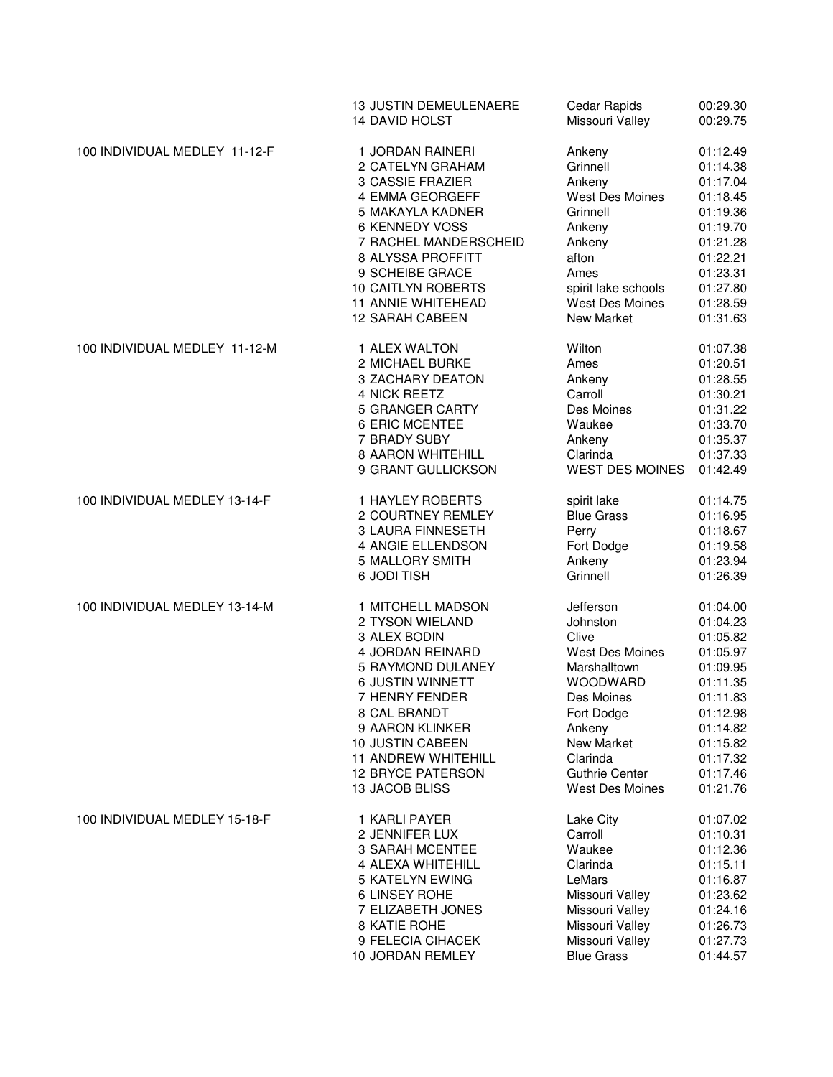|                               | <b>13 JUSTIN DEMEULENAERE</b> | Cedar Rapids           | 00:29.30 |
|-------------------------------|-------------------------------|------------------------|----------|
|                               | 14 DAVID HOLST                | Missouri Valley        | 00:29.75 |
| 100 INDIVIDUAL MEDLEY 11-12-F | 1 JORDAN RAINERI              | Ankeny                 | 01:12.49 |
|                               | 2 CATELYN GRAHAM              | Grinnell               | 01:14.38 |
|                               | 3 CASSIE FRAZIER              | Ankeny                 | 01:17.04 |
|                               | 4 EMMA GEORGEFF               | West Des Moines        | 01:18.45 |
|                               | 5 MAKAYLA KADNER              | Grinnell               | 01:19.36 |
|                               | 6 KENNEDY VOSS                | Ankeny                 | 01:19.70 |
|                               | 7 RACHEL MANDERSCHEID         | Ankeny                 | 01:21.28 |
|                               | 8 ALYSSA PROFFITT             | afton                  | 01:22.21 |
|                               | 9 SCHEIBE GRACE               | Ames                   | 01:23.31 |
|                               | 10 CAITLYN ROBERTS            | spirit lake schools    | 01:27.80 |
|                               | <b>11 ANNIE WHITEHEAD</b>     | West Des Moines        | 01:28.59 |
|                               | 12 SARAH CABEEN               | New Market             | 01:31.63 |
| 100 INDIVIDUAL MEDLEY 11-12-M | 1 ALEX WALTON                 | Wilton                 | 01:07.38 |
|                               | 2 MICHAEL BURKE               | Ames                   | 01:20.51 |
|                               | 3 ZACHARY DEATON              | Ankeny                 | 01:28.55 |
|                               | 4 NICK REETZ                  | Carroll                | 01:30.21 |
|                               | 5 GRANGER CARTY               | Des Moines             | 01:31.22 |
|                               | 6 ERIC MCENTEE                | Waukee                 | 01:33.70 |
|                               | 7 BRADY SUBY                  | Ankeny                 | 01:35.37 |
|                               | 8 AARON WHITEHILL             | Clarinda               | 01:37.33 |
|                               | 9 GRANT GULLICKSON            | <b>WEST DES MOINES</b> | 01:42.49 |
| 100 INDIVIDUAL MEDLEY 13-14-F | 1 HAYLEY ROBERTS              | spirit lake            | 01:14.75 |
|                               | 2 COURTNEY REMLEY             | <b>Blue Grass</b>      | 01:16.95 |
|                               | <b>3 LAURA FINNESETH</b>      | Perry                  | 01:18.67 |
|                               | 4 ANGIE ELLENDSON             | Fort Dodge             | 01:19.58 |
|                               | 5 MALLORY SMITH               | Ankeny                 | 01:23.94 |
|                               | 6 JODI TISH                   | Grinnell               | 01:26.39 |
| 100 INDIVIDUAL MEDLEY 13-14-M | 1 MITCHELL MADSON             | Jefferson              | 01:04.00 |
|                               | 2 TYSON WIELAND               | Johnston               | 01:04.23 |
|                               | 3 ALEX BODIN                  | Clive                  | 01:05.82 |
|                               | 4 JORDAN REINARD              | West Des Moines        | 01:05.97 |
|                               | 5 RAYMOND DULANEY             | Marshalltown           | 01:09.95 |
|                               | <b>6 JUSTIN WINNETT</b>       | <b>WOODWARD</b>        | 01:11.35 |
|                               | 7 HENRY FENDER                | Des Moines             | 01:11.83 |
|                               | 8 CAL BRANDT                  | Fort Dodge             | 01:12.98 |
|                               | 9 AARON KLINKER               | Ankeny                 | 01:14.82 |
|                               | 10 JUSTIN CABEEN              | <b>New Market</b>      | 01:15.82 |
|                               | <b>11 ANDREW WHITEHILL</b>    | Clarinda               | 01:17.32 |
|                               | <b>12 BRYCE PATERSON</b>      | <b>Guthrie Center</b>  | 01:17.46 |
|                               | 13 JACOB BLISS                | <b>West Des Moines</b> | 01:21.76 |
| 100 INDIVIDUAL MEDLEY 15-18-F | 1 KARLI PAYER                 | Lake City              | 01:07.02 |
|                               | 2 JENNIFER LUX                | Carroll                | 01:10.31 |
|                               | <b>3 SARAH MCENTEE</b>        | Waukee                 | 01:12.36 |
|                               | 4 ALEXA WHITEHILL             | Clarinda               | 01:15.11 |
|                               | 5 KATELYN EWING               | LeMars                 | 01:16.87 |
|                               | 6 LINSEY ROHE                 | Missouri Valley        | 01:23.62 |
|                               | 7 ELIZABETH JONES             | Missouri Valley        | 01:24.16 |
|                               | 8 KATIE ROHE                  | Missouri Valley        | 01:26.73 |
|                               | 9 FELECIA CIHACEK             | Missouri Valley        | 01:27.73 |
|                               | 10 JORDAN REMLEY              | <b>Blue Grass</b>      | 01:44.57 |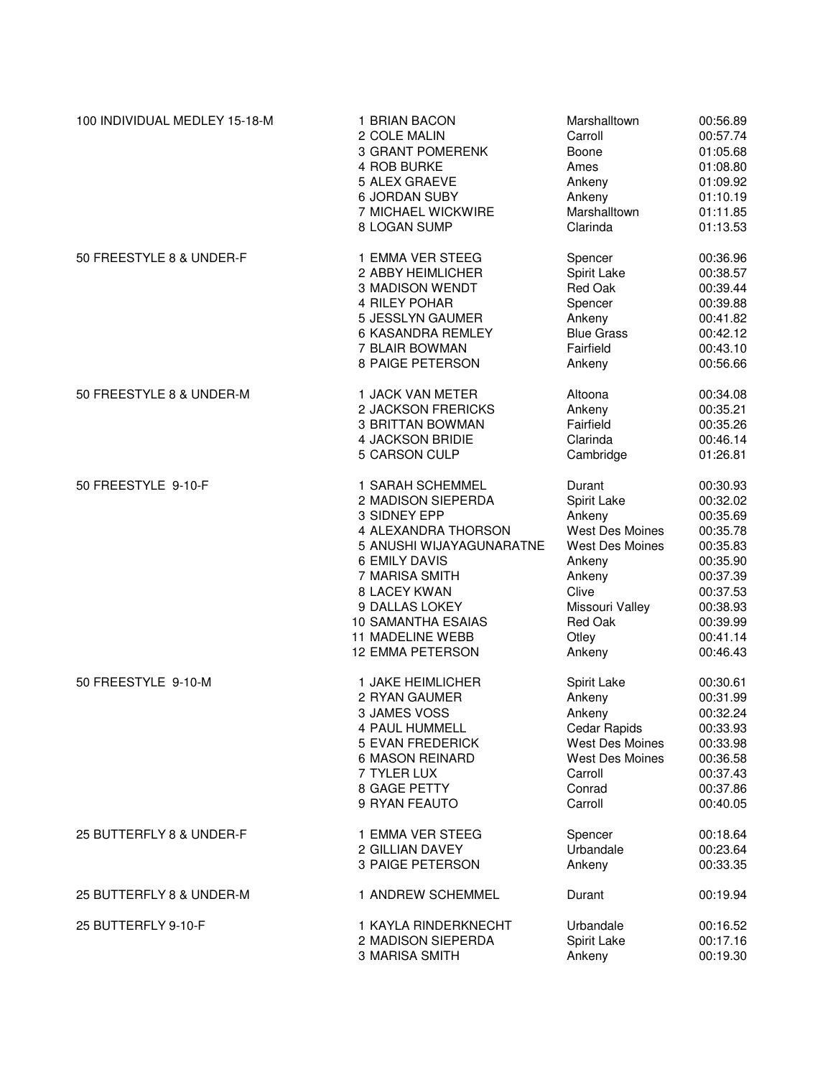| 100 INDIVIDUAL MEDLEY 15-18-M | 1 BRIAN BACON<br>2 COLE MALIN | Marshalltown<br>Carroll | 00:56.89<br>00:57.74 |
|-------------------------------|-------------------------------|-------------------------|----------------------|
|                               | <b>3 GRANT POMERENK</b>       | Boone                   | 01:05.68             |
|                               | 4 ROB BURKE                   | Ames                    | 01:08.80             |
|                               | 5 ALEX GRAEVE                 | Ankeny                  | 01:09.92             |
|                               | <b>6 JORDAN SUBY</b>          | Ankeny                  | 01:10.19             |
|                               | 7 MICHAEL WICKWIRE            | Marshalltown            | 01:11.85             |
|                               | 8 LOGAN SUMP                  | Clarinda                | 01:13.53             |
| 50 FREESTYLE 8 & UNDER-F      | 1 EMMA VER STEEG              | Spencer                 | 00:36.96             |
|                               | 2 ABBY HEIMLICHER             | Spirit Lake             | 00:38.57             |
|                               | 3 MADISON WENDT               | Red Oak                 | 00:39.44             |
|                               | 4 RILEY POHAR                 | Spencer                 | 00:39.88             |
|                               | 5 JESSLYN GAUMER              | Ankeny                  | 00:41.82             |
|                               | 6 KASANDRA REMLEY             | <b>Blue Grass</b>       | 00:42.12             |
|                               | 7 BLAIR BOWMAN                | Fairfield               | 00:43.10             |
|                               | 8 PAIGE PETERSON              | Ankeny                  | 00:56.66             |
| 50 FREESTYLE 8 & UNDER-M      | 1 JACK VAN METER              | Altoona                 | 00:34.08             |
|                               | 2 JACKSON FRERICKS            | Ankeny                  | 00:35.21             |
|                               | 3 BRITTAN BOWMAN              | Fairfield               | 00:35.26             |
|                               | 4 JACKSON BRIDIE              | Clarinda                | 00:46.14             |
|                               | 5 CARSON CULP                 | Cambridge               | 01:26.81             |
| 50 FREESTYLE 9-10-F           | 1 SARAH SCHEMMEL              | Durant                  | 00:30.93             |
|                               | 2 MADISON SIEPERDA            | Spirit Lake             | 00:32.02             |
|                               | 3 SIDNEY EPP                  | Ankeny                  | 00:35.69             |
|                               | 4 ALEXANDRA THORSON           | West Des Moines         | 00:35.78             |
|                               | 5 ANUSHI WIJAYAGUNARATNE      | West Des Moines         | 00:35.83             |
|                               | <b>6 EMILY DAVIS</b>          | Ankeny                  | 00:35.90             |
|                               | 7 MARISA SMITH                |                         | 00:37.39             |
|                               |                               | Ankeny<br>Clive         | 00:37.53             |
|                               | 8 LACEY KWAN                  |                         |                      |
|                               | 9 DALLAS LOKEY                | Missouri Valley         | 00:38.93             |
|                               | <b>10 SAMANTHA ESAIAS</b>     | Red Oak                 | 00:39.99             |
|                               | <b>11 MADELINE WEBB</b>       | Otley                   | 00:41.14             |
|                               | <b>12 EMMA PETERSON</b>       | Ankeny                  | 00:46.43             |
| 50 FREESTYLE 9-10-M           | 1 JAKE HEIMLICHER             | Spirit Lake             | 00:30.61             |
|                               | 2 RYAN GAUMER                 | Ankeny                  | 00:31.99             |
|                               | 3 JAMES VOSS                  | Ankeny                  | 00:32.24             |
|                               | 4 PAUL HUMMELL                | Cedar Rapids            | 00:33.93             |
|                               | <b>5 EVAN FREDERICK</b>       | West Des Moines         | 00:33.98             |
|                               | <b>6 MASON REINARD</b>        | <b>West Des Moines</b>  | 00:36.58             |
|                               | 7 TYLER LUX                   | Carroll                 | 00:37.43             |
|                               | 8 GAGE PETTY                  | Conrad                  | 00:37.86             |
|                               | 9 RYAN FEAUTO                 | Carroll                 | 00:40.05             |
| 25 BUTTERFLY 8 & UNDER-F      | 1 EMMA VER STEEG              | Spencer                 | 00:18.64             |
|                               | 2 GILLIAN DAVEY               | Urbandale               | 00:23.64             |
|                               | 3 PAIGE PETERSON              | Ankeny                  | 00:33.35             |
| 25 BUTTERFLY 8 & UNDER-M      | 1 ANDREW SCHEMMEL             | Durant                  | 00:19.94             |
| 25 BUTTERFLY 9-10-F           | 1 KAYLA RINDERKNECHT          | Urbandale               | 00:16.52             |
|                               | 2 MADISON SIEPERDA            | Spirit Lake             | 00:17.16             |
|                               | 3 MARISA SMITH                | Ankeny                  | 00:19.30             |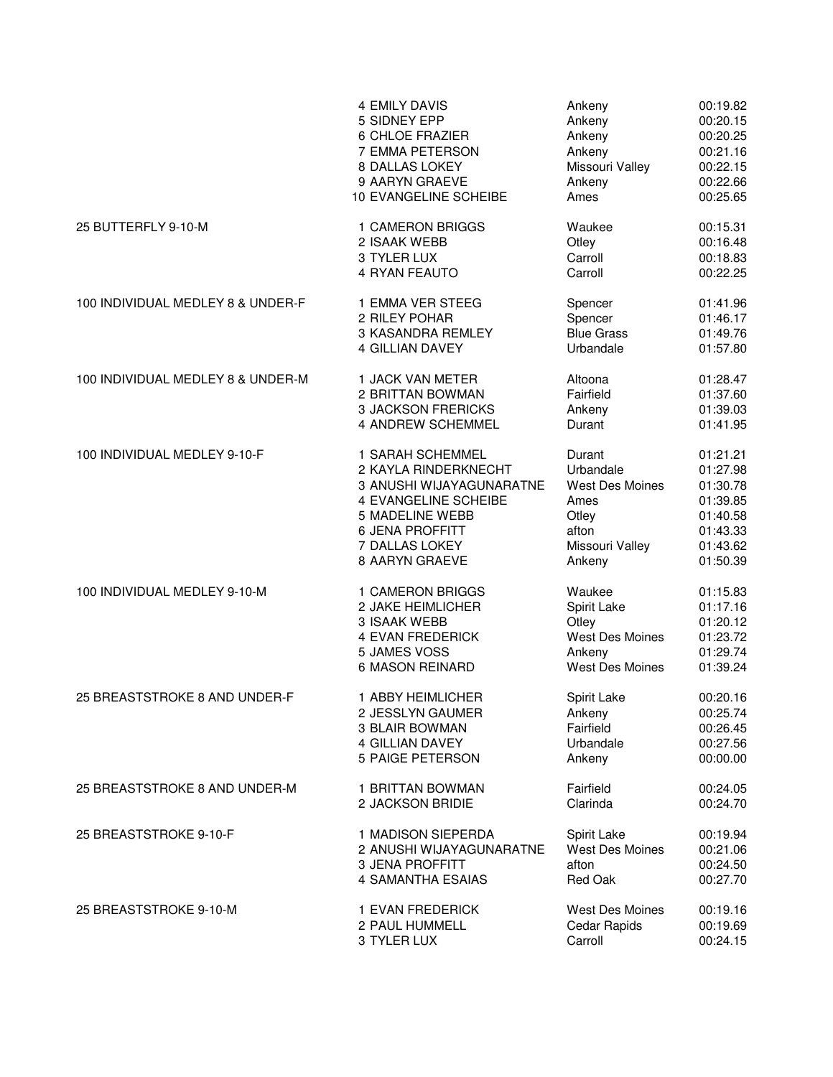|                                   | <b>4 EMILY DAVIS</b>      | Ankeny            | 00:19.82 |
|-----------------------------------|---------------------------|-------------------|----------|
|                                   | 5 SIDNEY EPP              | Ankeny            | 00:20.15 |
|                                   | 6 CHLOE FRAZIER           | Ankeny            | 00:20.25 |
|                                   | 7 EMMA PETERSON           | Ankeny            | 00:21.16 |
|                                   | 8 DALLAS LOKEY            | Missouri Valley   | 00:22.15 |
|                                   | 9 AARYN GRAEVE            | Ankeny            | 00:22.66 |
|                                   | 10 EVANGELINE SCHEIBE     | Ames              | 00:25.65 |
| 25 BUTTERFLY 9-10-M               | 1 CAMERON BRIGGS          | Waukee            | 00:15.31 |
|                                   | 2 ISAAK WEBB              | Otley             | 00:16.48 |
|                                   | 3 TYLER LUX               | Carroll           | 00:18.83 |
|                                   | 4 RYAN FEAUTO             | Carroll           | 00:22.25 |
| 100 INDIVIDUAL MEDLEY 8 & UNDER-F | 1 EMMA VER STEEG          | Spencer           | 01:41.96 |
|                                   | 2 RILEY POHAR             | Spencer           | 01:46.17 |
|                                   | <b>3 KASANDRA REMLEY</b>  | <b>Blue Grass</b> | 01:49.76 |
|                                   | 4 GILLIAN DAVEY           | Urbandale         | 01:57.80 |
| 100 INDIVIDUAL MEDLEY 8 & UNDER-M | 1 JACK VAN METER          | Altoona           | 01:28.47 |
|                                   | 2 BRITTAN BOWMAN          | Fairfield         | 01:37.60 |
|                                   | <b>3 JACKSON FRERICKS</b> | Ankeny            | 01:39.03 |
|                                   | 4 ANDREW SCHEMMEL         | Durant            | 01:41.95 |
| 100 INDIVIDUAL MEDLEY 9-10-F      | 1 SARAH SCHEMMEL          | Durant            | 01:21.21 |
|                                   | 2 KAYLA RINDERKNECHT      | Urbandale         | 01:27.98 |
|                                   | 3 ANUSHI WIJAYAGUNARATNE  | West Des Moines   | 01:30.78 |
|                                   | 4 EVANGELINE SCHEIBE      | Ames              | 01:39.85 |
|                                   | <b>5 MADELINE WEBB</b>    | Otley             | 01:40.58 |
|                                   | <b>6 JENA PROFFITT</b>    | afton             | 01:43.33 |
|                                   | 7 DALLAS LOKEY            | Missouri Valley   | 01:43.62 |
|                                   | 8 AARYN GRAEVE            | Ankeny            | 01:50.39 |
| 100 INDIVIDUAL MEDLEY 9-10-M      | 1 CAMERON BRIGGS          | Waukee            | 01:15.83 |
|                                   | 2 JAKE HEIMLICHER         | Spirit Lake       | 01:17.16 |
|                                   | 3 ISAAK WEBB              | Otley             | 01:20.12 |
|                                   | 4 EVAN FREDERICK          | West Des Moines   | 01:23.72 |
|                                   | 5 JAMES VOSS              | Ankeny            | 01:29.74 |
|                                   | 6 MASON REINARD           | West Des Moines   | 01:39.24 |
| 25 BREASTSTROKE 8 AND UNDER-F     | 1 ABBY HEIMLICHER         | Spirit Lake       | 00:20.16 |
|                                   | 2 JESSLYN GAUMER          | Ankeny            | 00:25.74 |
|                                   | 3 BLAIR BOWMAN            | Fairfield         | 00:26.45 |
|                                   | <b>4 GILLIAN DAVEY</b>    | Urbandale         | 00:27.56 |
|                                   | 5 PAIGE PETERSON          | Ankeny            | 00:00.00 |
| 25 BREASTSTROKE 8 AND UNDER-M     | 1 BRITTAN BOWMAN          | Fairfield         | 00:24.05 |
|                                   | 2 JACKSON BRIDIE          | Clarinda          | 00:24.70 |
| 25 BREASTSTROKE 9-10-F            | 1 MADISON SIEPERDA        | Spirit Lake       | 00:19.94 |
|                                   | 2 ANUSHI WIJAYAGUNARATNE  | West Des Moines   | 00:21.06 |
|                                   | <b>3 JENA PROFFITT</b>    | afton             | 00:24.50 |
|                                   | 4 SAMANTHA ESAIAS         | Red Oak           | 00:27.70 |
| 25 BREASTSTROKE 9-10-M            | 1 EVAN FREDERICK          | West Des Moines   | 00:19.16 |
|                                   | 2 PAUL HUMMELL            | Cedar Rapids      | 00:19.69 |
|                                   | 3 TYLER LUX               | Carroll           | 00:24.15 |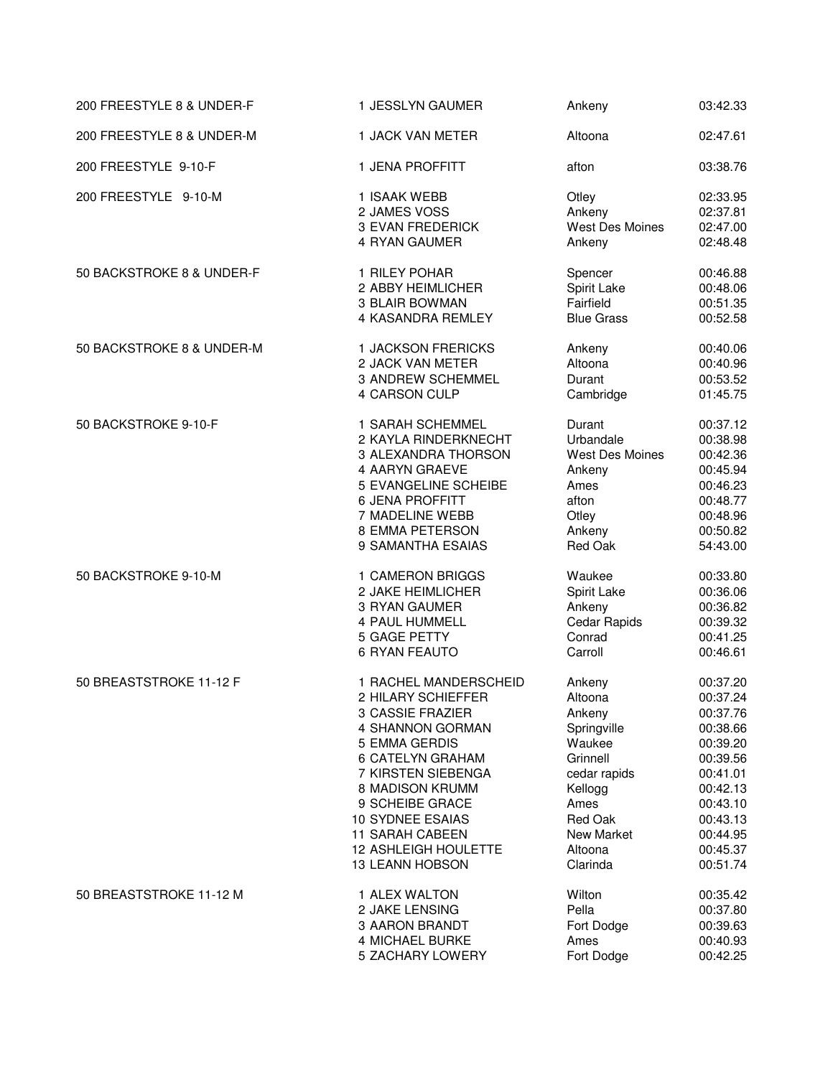| 200 FREESTYLE 8 & UNDER-F | 1 JESSLYN GAUMER            | Ankeny                 | 03:42.33 |
|---------------------------|-----------------------------|------------------------|----------|
| 200 FREESTYLE 8 & UNDER-M | 1 JACK VAN METER            | Altoona                | 02:47.61 |
| 200 FREESTYLE 9-10-F      | 1 JENA PROFFITT             | afton                  | 03:38.76 |
| 200 FREESTYLE 9-10-M      | 1 ISAAK WEBB                | Otley                  | 02:33.95 |
|                           | 2 JAMES VOSS                | Ankeny                 | 02:37.81 |
|                           | <b>3 EVAN FREDERICK</b>     | <b>West Des Moines</b> | 02:47.00 |
|                           | 4 RYAN GAUMER               | Ankeny                 | 02:48.48 |
| 50 BACKSTROKE 8 & UNDER-F | 1 RILEY POHAR               | Spencer                | 00:46.88 |
|                           | 2 ABBY HEIMLICHER           | Spirit Lake            | 00:48.06 |
|                           | <b>3 BLAIR BOWMAN</b>       | Fairfield              | 00:51.35 |
|                           | 4 KASANDRA REMLEY           | <b>Blue Grass</b>      | 00:52.58 |
| 50 BACKSTROKE 8 & UNDER-M | 1 JACKSON FRERICKS          | Ankeny                 | 00:40.06 |
|                           | 2 JACK VAN METER            | Altoona                | 00:40.96 |
|                           | <b>3 ANDREW SCHEMMEL</b>    | Durant                 | 00:53.52 |
|                           | 4 CARSON CULP               | Cambridge              | 01:45.75 |
| 50 BACKSTROKE 9-10-F      | 1 SARAH SCHEMMEL            | Durant                 | 00:37.12 |
|                           | 2 KAYLA RINDERKNECHT        | Urbandale              | 00:38.98 |
|                           | 3 ALEXANDRA THORSON         | West Des Moines        | 00:42.36 |
|                           | 4 AARYN GRAEVE              | Ankeny                 | 00:45.94 |
|                           | 5 EVANGELINE SCHEIBE        | Ames                   | 00:46.23 |
|                           | <b>6 JENA PROFFITT</b>      | afton                  | 00:48.77 |
|                           | 7 MADELINE WEBB             | Otley                  | 00:48.96 |
|                           | 8 EMMA PETERSON             | Ankeny                 | 00:50.82 |
|                           | 9 SAMANTHA ESAIAS           | Red Oak                | 54:43.00 |
| 50 BACKSTROKE 9-10-M      | 1 CAMERON BRIGGS            | Waukee                 | 00:33.80 |
|                           | 2 JAKE HEIMLICHER           | Spirit Lake            | 00:36.06 |
|                           | 3 RYAN GAUMER               | Ankeny                 | 00:36.82 |
|                           | 4 PAUL HUMMELL              | Cedar Rapids           | 00:39.32 |
|                           | 5 GAGE PETTY                | Conrad                 | 00:41.25 |
|                           | <b>6 RYAN FEAUTO</b>        | Carroll                | 00:46.61 |
| 50 BREASTSTROKE 11-12 F   | 1 RACHEL MANDERSCHEID       | Ankeny                 | 00:37.20 |
|                           | 2 HILARY SCHIEFFER          | Altoona                | 00:37.24 |
|                           | 3 CASSIE FRAZIER            | Ankeny                 | 00:37.76 |
|                           | 4 SHANNON GORMAN            | Springville            | 00:38.66 |
|                           | 5 EMMA GERDIS               | Waukee                 | 00:39.20 |
|                           | 6 CATELYN GRAHAM            | Grinnell               | 00:39.56 |
|                           | 7 KIRSTEN SIEBENGA          | cedar rapids           | 00:41.01 |
|                           | 8 MADISON KRUMM             | Kellogg                | 00:42.13 |
|                           | 9 SCHEIBE GRACE             | Ames                   | 00:43.10 |
|                           | <b>10 SYDNEE ESAIAS</b>     | Red Oak                | 00:43.13 |
|                           | <b>11 SARAH CABEEN</b>      | New Market             | 00:44.95 |
|                           | <b>12 ASHLEIGH HOULETTE</b> | Altoona                | 00:45.37 |
|                           | 13 LEANN HOBSON             | Clarinda               | 00:51.74 |
| 50 BREASTSTROKE 11-12 M   | 1 ALEX WALTON               | Wilton                 | 00:35.42 |
|                           | 2 JAKE LENSING              | Pella                  | 00:37.80 |
|                           | 3 AARON BRANDT              | Fort Dodge             | 00:39.63 |
|                           | 4 MICHAEL BURKE             | Ames                   | 00:40.93 |
|                           | 5 ZACHARY LOWERY            | Fort Dodge             | 00:42.25 |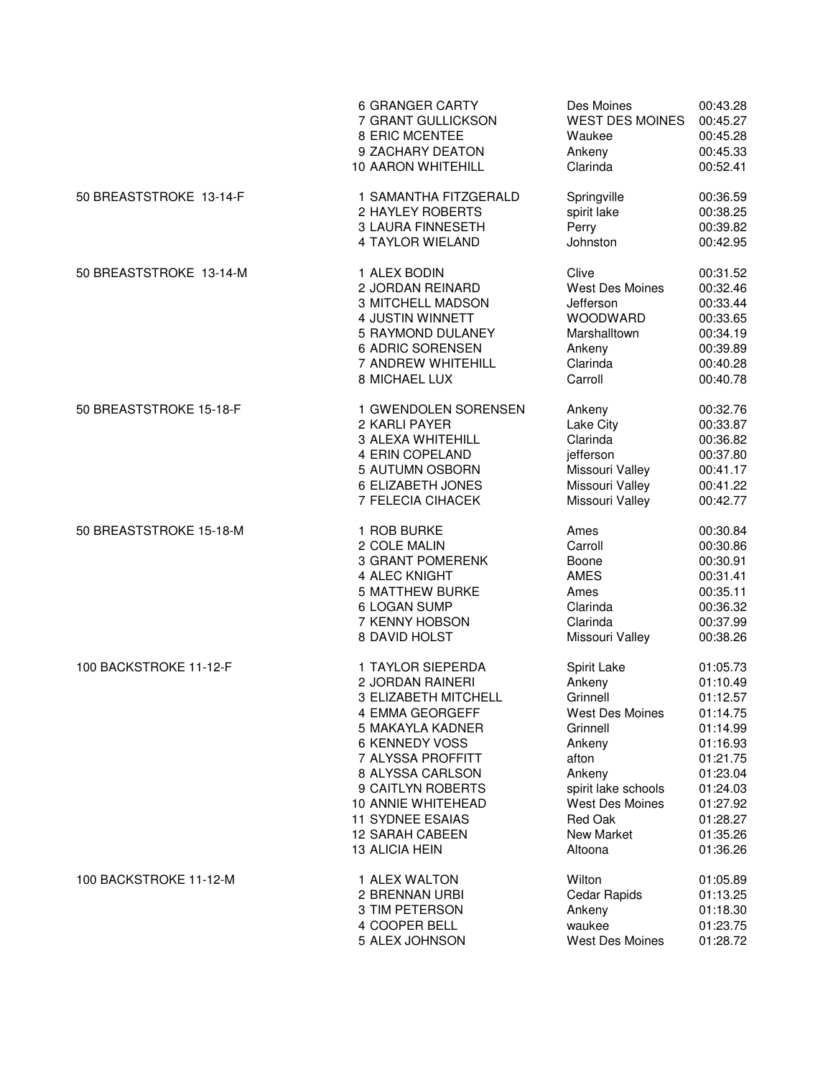|                         | <b>6 GRANGER CARTY</b>    | Des Moines             | 00:43.28 |
|-------------------------|---------------------------|------------------------|----------|
|                         | 7 GRANT GULLICKSON        | <b>WEST DES MOINES</b> | 00:45.27 |
|                         | 8 ERIC MCENTEE            | Waukee                 | 00:45.28 |
|                         | 9 ZACHARY DEATON          | Ankeny                 | 00:45.33 |
|                         | <b>10 AARON WHITEHILL</b> | Clarinda               | 00:52.41 |
| 50 BREASTSTROKE 13-14-F | 1 SAMANTHA FITZGERALD     | Springville            | 00:36.59 |
|                         | 2 HAYLEY ROBERTS          | spirit lake            | 00:38.25 |
|                         | <b>3 LAURA FINNESETH</b>  | Perry                  | 00:39.82 |
|                         | 4 TAYLOR WIELAND          | Johnston               | 00:42.95 |
| 50 BREASTSTROKE 13-14-M | 1 ALEX BODIN              | Clive                  | 00:31.52 |
|                         | 2 JORDAN REINARD          | <b>West Des Moines</b> | 00:32.46 |
|                         | 3 MITCHELL MADSON         | Jefferson              | 00:33.44 |
|                         | 4 JUSTIN WINNETT          | WOODWARD               | 00:33.65 |
|                         | 5 RAYMOND DULANEY         | Marshalltown           | 00:34.19 |
|                         | 6 ADRIC SORENSEN          | Ankeny                 | 00:39.89 |
|                         | 7 ANDREW WHITEHILL        | Clarinda               | 00:40.28 |
|                         | 8 MICHAEL LUX             | Carroll                | 00:40.78 |
| 50 BREASTSTROKE 15-18-F | 1 GWENDOLEN SORENSEN      | Ankeny                 | 00:32.76 |
|                         | 2 KARLI PAYER             | Lake City              | 00:33.87 |
|                         | 3 ALEXA WHITEHILL         | Clarinda               | 00:36.82 |
|                         | 4 ERIN COPELAND           | jefferson              | 00:37.80 |
|                         | 5 AUTUMN OSBORN           | Missouri Valley        | 00:41.17 |
|                         | 6 ELIZABETH JONES         | Missouri Valley        | 00:41.22 |
|                         | 7 FELECIA CIHACEK         | Missouri Valley        | 00:42.77 |
| 50 BREASTSTROKE 15-18-M | 1 ROB BURKE               | Ames                   | 00:30.84 |
|                         | 2 COLE MALIN              | Carroll                | 00:30.86 |
|                         | <b>3 GRANT POMERENK</b>   | Boone                  | 00:30.91 |
|                         | 4 ALEC KNIGHT             | <b>AMES</b>            | 00:31.41 |
|                         | <b>5 MATTHEW BURKE</b>    | Ames                   | 00:35.11 |
|                         | 6 LOGAN SUMP              | Clarinda               | 00:36.32 |
|                         | 7 KENNY HOBSON            | Clarinda               | 00:37.99 |
|                         | 8 DAVID HOLST             | Missouri Valley        | 00:38.26 |
| 100 BACKSTROKE 11-12-F  | 1 TAYLOR SIEPERDA         | Spirit Lake            | 01:05.73 |
|                         | 2 JORDAN RAINERI          | Ankeny                 | 01:10.49 |
|                         | 3 ELIZABETH MITCHELL      | Grinnell               | 01:12.57 |
|                         | 4 EMMA GEORGEFF           | <b>West Des Moines</b> | 01:14.75 |
|                         | 5 MAKAYLA KADNER          | Grinnell               | 01:14.99 |
|                         | 6 KENNEDY VOSS            | Ankeny                 | 01:16.93 |
|                         | 7 ALYSSA PROFFITT         | afton                  | 01:21.75 |
|                         | 8 ALYSSA CARLSON          | Ankeny                 | 01:23.04 |
|                         | 9 CAITLYN ROBERTS         | spirit lake schools    | 01:24.03 |
|                         | 10 ANNIE WHITEHEAD        | <b>West Des Moines</b> | 01:27.92 |
|                         | <b>11 SYDNEE ESAIAS</b>   | Red Oak                | 01:28.27 |
|                         | <b>12 SARAH CABEEN</b>    | <b>New Market</b>      | 01:35.26 |
|                         | 13 ALICIA HEIN            | Altoona                | 01:36.26 |
| 100 BACKSTROKE 11-12-M  | 1 ALEX WALTON             | Wilton                 | 01:05.89 |
|                         | 2 BRENNAN URBI            | Cedar Rapids           | 01:13.25 |
|                         | 3 TIM PETERSON            | Ankeny                 | 01:18.30 |
|                         | 4 COOPER BELL             | waukee                 | 01:23.75 |
|                         | 5 ALEX JOHNSON            | West Des Moines        | 01:28.72 |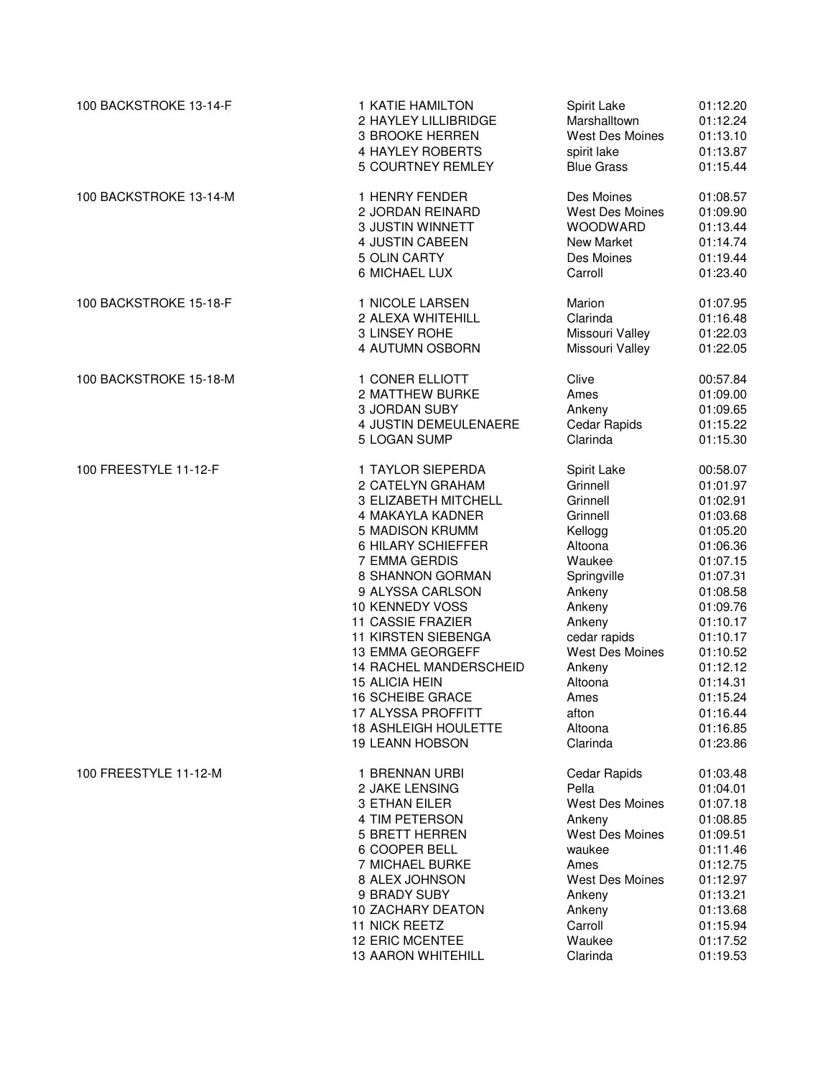| 100 BACKSTROKE 13-14-F | 1 KATIE HAMILTON            | Spirit Lake            | 01:12.20 |
|------------------------|-----------------------------|------------------------|----------|
|                        | 2 HAYLEY LILLIBRIDGE        | Marshalltown           | 01:12.24 |
|                        | 3 BROOKE HERREN             | <b>West Des Moines</b> | 01:13.10 |
|                        | 4 HAYLEY ROBERTS            | spirit lake            | 01:13.87 |
|                        | 5 COURTNEY REMLEY           | <b>Blue Grass</b>      | 01:15.44 |
| 100 BACKSTROKE 13-14-M | 1 HENRY FENDER              | Des Moines             | 01:08.57 |
|                        | 2 JORDAN REINARD            | <b>West Des Moines</b> | 01:09.90 |
|                        | 3 JUSTIN WINNETT            | <b>WOODWARD</b>        | 01:13.44 |
|                        | 4 JUSTIN CABEEN             | New Market             | 01:14.74 |
|                        | 5 OLIN CARTY                | Des Moines             | 01:19.44 |
|                        | 6 MICHAEL LUX               | Carroll                | 01:23.40 |
| 100 BACKSTROKE 15-18-F | 1 NICOLE LARSEN             | Marion                 | 01:07.95 |
|                        | 2 ALEXA WHITEHILL           | Clarinda               | 01:16.48 |
|                        | 3 LINSEY ROHE               | Missouri Valley        | 01:22.03 |
|                        | 4 AUTUMN OSBORN             | Missouri Valley        | 01:22.05 |
| 100 BACKSTROKE 15-18-M | 1 CONER ELLIOTT             | Clive                  | 00:57.84 |
|                        | 2 MATTHEW BURKE             | Ames                   | 01:09.00 |
|                        | <b>3 JORDAN SUBY</b>        | Ankeny                 | 01:09.65 |
|                        | 4 JUSTIN DEMEULENAERE       | Cedar Rapids           | 01:15.22 |
|                        | 5 LOGAN SUMP                | Clarinda               | 01:15.30 |
| 100 FREESTYLE 11-12-F  | 1 TAYLOR SIEPERDA           | Spirit Lake            | 00:58.07 |
|                        | 2 CATELYN GRAHAM            | Grinnell               | 01:01.97 |
|                        | 3 ELIZABETH MITCHELL        | Grinnell               | 01:02.91 |
|                        | 4 MAKAYLA KADNER            | Grinnell               | 01:03.68 |
|                        | 5 MADISON KRUMM             | Kellogg                | 01:05.20 |
|                        | 6 HILARY SCHIEFFER          | Altoona                | 01:06.36 |
|                        | 7 EMMA GERDIS               | Waukee                 | 01:07.15 |
|                        | 8 SHANNON GORMAN            | Springville            | 01:07.31 |
|                        | 9 ALYSSA CARLSON            | Ankeny                 | 01:08.58 |
|                        | 10 KENNEDY VOSS             | Ankeny                 | 01:09.76 |
|                        | 11 CASSIE FRAZIER           | Ankeny                 | 01:10.17 |
|                        | 11 KIRSTEN SIEBENGA         | cedar rapids           | 01:10.17 |
|                        | 13 EMMA GEORGEFF            | West Des Moines        | 01:10.52 |
|                        | 14 RACHEL MANDERSCHEID      | Ankeny                 | 01:12.12 |
|                        | <b>15 ALICIA HEIN</b>       | Altoona                | 01:14.31 |
|                        | <b>16 SCHEIBE GRACE</b>     | Ames                   | 01:15.24 |
|                        | 17 ALYSSA PROFFITT          | afton                  | 01:16.44 |
|                        | <b>18 ASHLEIGH HOULETTE</b> | Altoona                | 01:16.85 |
|                        | <b>19 LEANN HOBSON</b>      | Clarinda               | 01:23.86 |
| 100 FREESTYLE 11-12-M  | 1 BRENNAN URBI              | Cedar Rapids           | 01:03.48 |
|                        | 2 JAKE LENSING              | Pella                  | 01:04.01 |
|                        | 3 ETHAN EILER               | West Des Moines        | 01:07.18 |
|                        | 4 TIM PETERSON              | Ankeny                 | 01:08.85 |
|                        | <b>5 BRETT HERREN</b>       | <b>West Des Moines</b> | 01:09.51 |
|                        | 6 COOPER BELL               | waukee                 | 01:11.46 |
|                        | 7 MICHAEL BURKE             | Ames                   | 01:12.75 |
|                        | 8 ALEX JOHNSON              | West Des Moines        | 01:12.97 |
|                        | 9 BRADY SUBY                | Ankeny                 | 01:13.21 |
|                        | 10 ZACHARY DEATON           | Ankeny                 | 01:13.68 |
|                        | <b>11 NICK REETZ</b>        | Carroll                | 01:15.94 |
|                        | 12 ERIC MCENTEE             | Waukee                 | 01:17.52 |
|                        | 13 AARON WHITEHILL          | Clarinda               | 01:19.53 |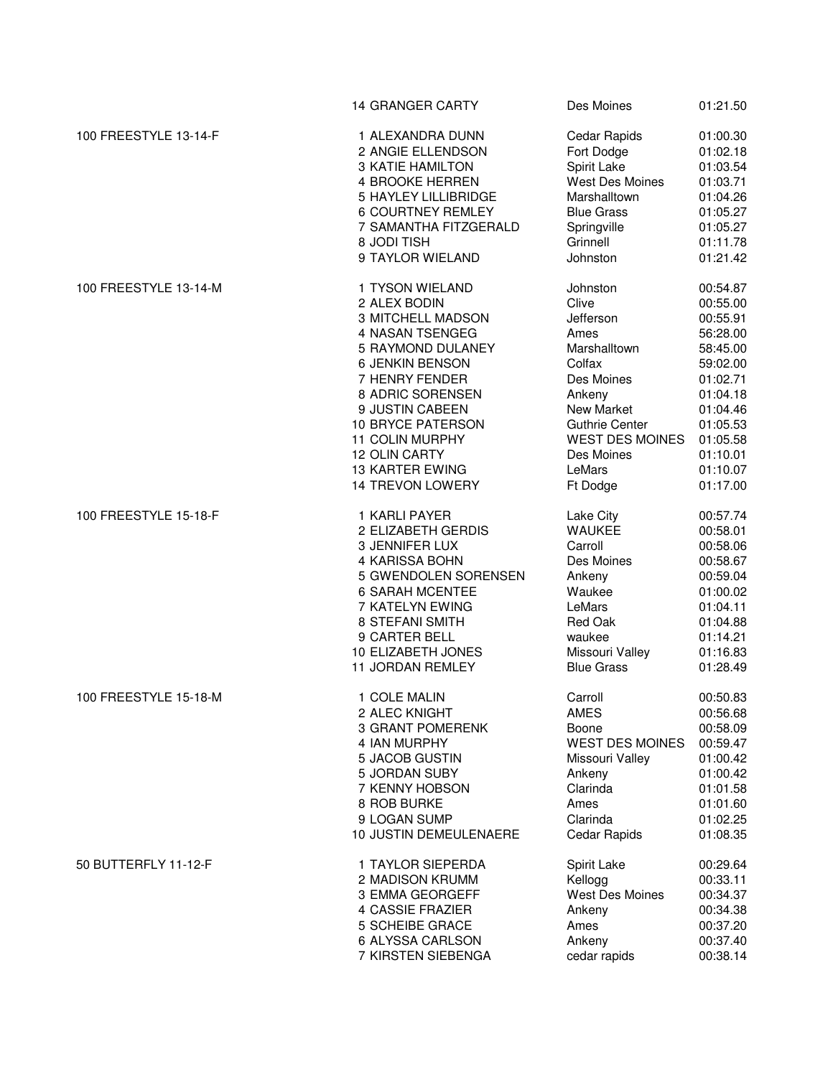|                       | <b>14 GRANGER CARTY</b>     | Des Moines             | 01:21.50 |
|-----------------------|-----------------------------|------------------------|----------|
| 100 FREESTYLE 13-14-F | 1 ALEXANDRA DUNN            | Cedar Rapids           | 01:00.30 |
|                       | 2 ANGIE ELLENDSON           | Fort Dodge             | 01:02.18 |
|                       | <b>3 KATIE HAMILTON</b>     | Spirit Lake            | 01:03.54 |
|                       | <b>4 BROOKE HERREN</b>      | West Des Moines        | 01:03.71 |
|                       | <b>5 HAYLEY LILLIBRIDGE</b> | Marshalltown           | 01:04.26 |
|                       | <b>6 COURTNEY REMLEY</b>    | <b>Blue Grass</b>      | 01:05.27 |
|                       | 7 SAMANTHA FITZGERALD       | Springville            | 01:05.27 |
|                       | 8 JODI TISH                 | Grinnell               | 01:11.78 |
|                       | 9 TAYLOR WIELAND            | Johnston               | 01:21.42 |
| 100 FREESTYLE 13-14-M | 1 TYSON WIELAND             | Johnston               | 00:54.87 |
|                       | 2 ALEX BODIN                | Clive                  | 00:55.00 |
|                       | 3 MITCHELL MADSON           | Jefferson              | 00:55.91 |
|                       | 4 NASAN TSENGEG             | Ames                   | 56:28.00 |
|                       | 5 RAYMOND DULANEY           | Marshalltown           | 58:45.00 |
|                       | 6 JENKIN BENSON             | Colfax                 | 59:02.00 |
|                       | 7 HENRY FENDER              | Des Moines             | 01:02.71 |
|                       | 8 ADRIC SORENSEN            | Ankeny                 | 01:04.18 |
|                       | 9 JUSTIN CABEEN             | New Market             | 01:04.46 |
|                       | 10 BRYCE PATERSON           | <b>Guthrie Center</b>  | 01:05.53 |
|                       | 11 COLIN MURPHY             | <b>WEST DES MOINES</b> | 01:05.58 |
|                       | 12 OLIN CARTY               | Des Moines             | 01:10.01 |
|                       | <b>13 KARTER EWING</b>      | LeMars                 | 01:10.07 |
|                       | 14 TREVON LOWERY            | Ft Dodge               | 01:17.00 |
| 100 FREESTYLE 15-18-F | 1 KARLI PAYER               | Lake City              | 00:57.74 |
|                       | 2 ELIZABETH GERDIS          | <b>WAUKEE</b>          | 00:58.01 |
|                       | 3 JENNIFER LUX              | Carroll                | 00:58.06 |
|                       | 4 KARISSA BOHN              | Des Moines             | 00:58.67 |
|                       | 5 GWENDOLEN SORENSEN        | Ankeny                 | 00:59.04 |
|                       | <b>6 SARAH MCENTEE</b>      | Waukee                 | 01:00.02 |
|                       | 7 KATELYN EWING             | LeMars                 | 01:04.11 |
|                       | 8 STEFANI SMITH             | Red Oak                | 01:04.88 |
|                       | 9 CARTER BELL               | waukee                 | 01:14.21 |
|                       | 10 ELIZABETH JONES          | Missouri Valley        | 01:16.83 |
|                       | 11 JORDAN REMLEY            | <b>Blue Grass</b>      | 01:28.49 |
| 100 FREESTYLE 15-18-M | 1 COLE MALIN                | Carroll                | 00:50.83 |
|                       | 2 ALEC KNIGHT               | <b>AMES</b>            | 00:56.68 |
|                       | <b>3 GRANT POMERENK</b>     | Boone                  | 00:58.09 |
|                       | 4 IAN MURPHY                | <b>WEST DES MOINES</b> | 00:59.47 |
|                       | 5 JACOB GUSTIN              | Missouri Valley        | 01:00.42 |
|                       | 5 JORDAN SUBY               | Ankeny                 | 01:00.42 |
|                       | 7 KENNY HOBSON              | Clarinda               | 01:01.58 |
|                       | 8 ROB BURKE                 | Ames                   | 01:01.60 |
|                       | 9 LOGAN SUMP                | Clarinda               | 01:02.25 |
|                       | 10 JUSTIN DEMEULENAERE      | <b>Cedar Rapids</b>    | 01:08.35 |
| 50 BUTTERFLY 11-12-F  | 1 TAYLOR SIEPERDA           | Spirit Lake            | 00:29.64 |
|                       | 2 MADISON KRUMM             | Kellogg                | 00:33.11 |
|                       | 3 EMMA GEORGEFF             | West Des Moines        | 00:34.37 |
|                       | 4 CASSIE FRAZIER            | Ankeny                 | 00:34.38 |
|                       | 5 SCHEIBE GRACE             | Ames                   | 00:37.20 |
|                       | 6 ALYSSA CARLSON            | Ankeny                 | 00:37.40 |
|                       | 7 KIRSTEN SIEBENGA          | cedar rapids           | 00:38.14 |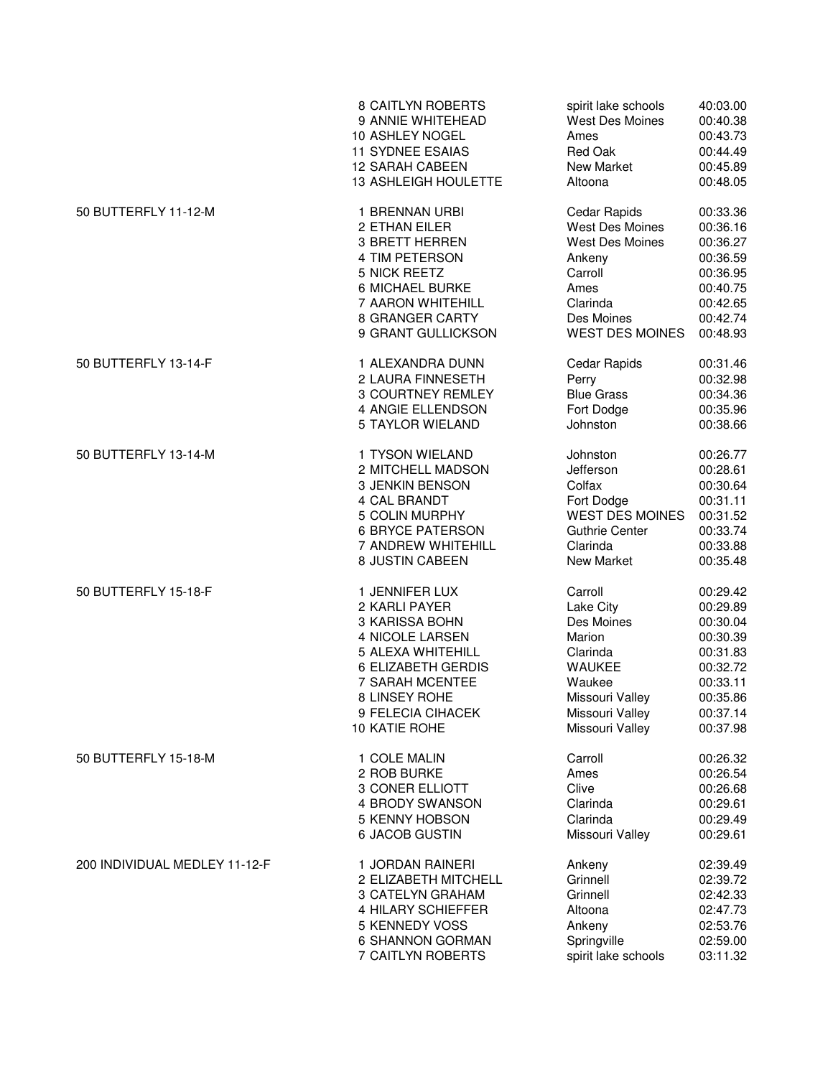|                               | <b>8 CAITLYN ROBERTS</b>    | spirit lake schools    | 40:03.00 |
|-------------------------------|-----------------------------|------------------------|----------|
|                               | 9 ANNIE WHITEHEAD           | <b>West Des Moines</b> | 00:40.38 |
|                               | 10 ASHLEY NOGEL             | Ames                   | 00:43.73 |
|                               | <b>11 SYDNEE ESAIAS</b>     | Red Oak                | 00:44.49 |
|                               | <b>12 SARAH CABEEN</b>      | New Market             | 00:45.89 |
|                               | <b>13 ASHLEIGH HOULETTE</b> | Altoona                | 00:48.05 |
| 50 BUTTERFLY 11-12-M          | 1 BRENNAN URBI              | Cedar Rapids           | 00:33.36 |
|                               | 2 ETHAN EILER               | <b>West Des Moines</b> | 00:36.16 |
|                               | 3 BRETT HERREN              | <b>West Des Moines</b> | 00:36.27 |
|                               | 4 TIM PETERSON              | Ankeny                 | 00:36.59 |
|                               | 5 NICK REETZ                | Carroll                | 00:36.95 |
|                               | 6 MICHAEL BURKE             | Ames                   | 00:40.75 |
|                               | 7 AARON WHITEHILL           | Clarinda               | 00:42.65 |
|                               | 8 GRANGER CARTY             | Des Moines             | 00:42.74 |
|                               | 9 GRANT GULLICKSON          | <b>WEST DES MOINES</b> | 00:48.93 |
| 50 BUTTERFLY 13-14-F          | 1 ALEXANDRA DUNN            | Cedar Rapids           | 00:31.46 |
|                               | 2 LAURA FINNESETH           | Perry                  | 00:32.98 |
|                               | 3 COURTNEY REMLEY           | <b>Blue Grass</b>      | 00:34.36 |
|                               | 4 ANGIE ELLENDSON           | Fort Dodge             | 00:35.96 |
|                               | 5 TAYLOR WIELAND            | Johnston               | 00:38.66 |
| 50 BUTTERFLY 13-14-M          | 1 TYSON WIELAND             | Johnston               | 00:26.77 |
|                               | 2 MITCHELL MADSON           | Jefferson              | 00:28.61 |
|                               | 3 JENKIN BENSON             | Colfax                 | 00:30.64 |
|                               | 4 CAL BRANDT                | Fort Dodge             | 00:31.11 |
|                               | 5 COLIN MURPHY              | <b>WEST DES MOINES</b> | 00:31.52 |
|                               | <b>6 BRYCE PATERSON</b>     | <b>Guthrie Center</b>  | 00:33.74 |
|                               | 7 ANDREW WHITEHILL          | Clarinda               | 00:33.88 |
|                               | 8 JUSTIN CABEEN             | New Market             | 00:35.48 |
| 50 BUTTERFLY 15-18-F          | 1 JENNIFER LUX              | Carroll                | 00:29.42 |
|                               | 2 KARLI PAYER               | Lake City              | 00:29.89 |
|                               | 3 KARISSA BOHN              | Des Moines             | 00:30.04 |
|                               | 4 NICOLE LARSEN             | Marion                 | 00:30.39 |
|                               | 5 ALEXA WHITEHILL           | Clarinda               | 00:31.83 |
|                               | 6 ELIZABETH GERDIS          | <b>WAUKEE</b>          | 00:32.72 |
|                               | 7 SARAH MCENTEE             | Waukee                 | 00:33.11 |
|                               | 8 LINSEY ROHE               | Missouri Valley        | 00:35.86 |
|                               | 9 FELECIA CIHACEK           | Missouri Valley        | 00:37.14 |
|                               | 10 KATIE ROHE               | Missouri Valley        | 00:37.98 |
| 50 BUTTERFLY 15-18-M          | 1 COLE MALIN                | Carroll                | 00:26.32 |
|                               | 2 ROB BURKE                 | Ames                   | 00:26.54 |
|                               | 3 CONER ELLIOTT             | Clive                  | 00:26.68 |
|                               | 4 BRODY SWANSON             | Clarinda               | 00:29.61 |
|                               | 5 KENNY HOBSON              | Clarinda               | 00:29.49 |
|                               | 6 JACOB GUSTIN              | Missouri Valley        | 00:29.61 |
| 200 INDIVIDUAL MEDLEY 11-12-F | 1 JORDAN RAINERI            | Ankeny                 | 02:39.49 |
|                               | 2 ELIZABETH MITCHELL        | Grinnell               | 02:39.72 |
|                               | 3 CATELYN GRAHAM            | Grinnell               | 02:42.33 |
|                               | 4 HILARY SCHIEFFER          | Altoona                | 02:47.73 |
|                               | 5 KENNEDY VOSS              | Ankeny                 | 02:53.76 |
|                               | 6 SHANNON GORMAN            | Springville            | 02:59.00 |
|                               | 7 CAITLYN ROBERTS           | spirit lake schools    | 03:11.32 |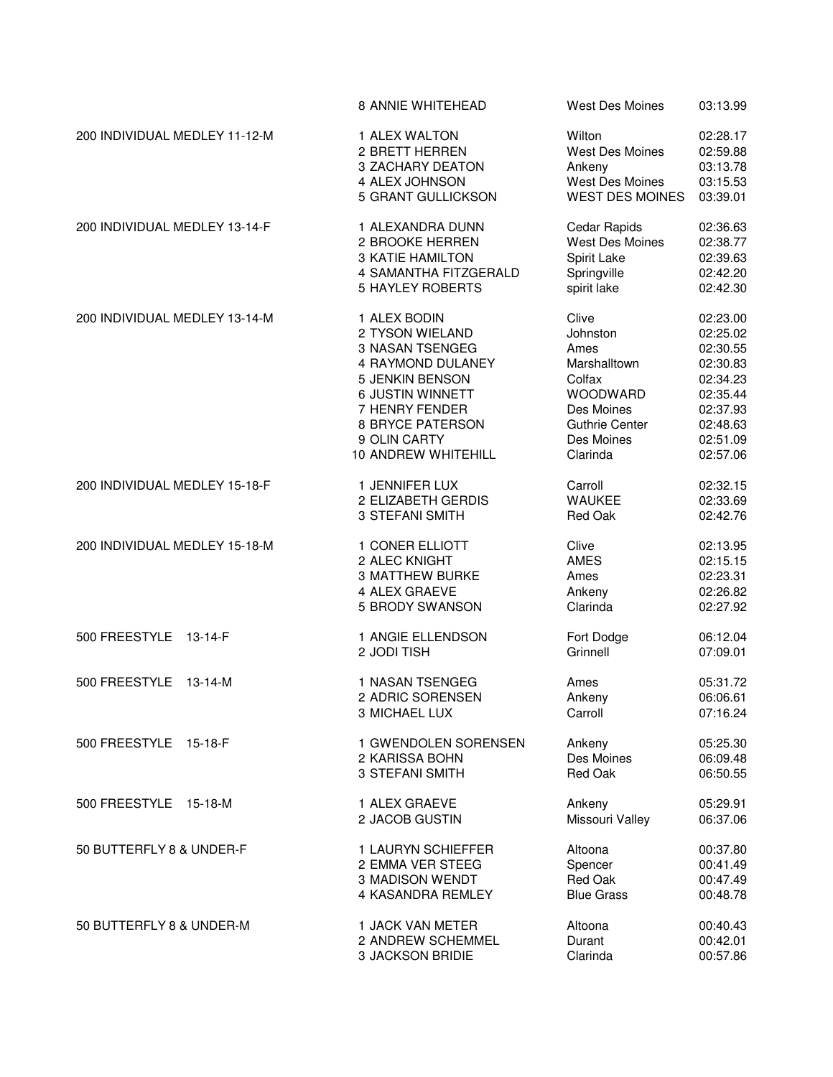|                                | 8 ANNIE WHITEHEAD                                    | <b>West Des Moines</b>    | 03:13.99                         |
|--------------------------------|------------------------------------------------------|---------------------------|----------------------------------|
| 200 INDIVIDUAL MEDLEY 11-12-M  | 1 ALEX WALTON                                        | Wilton                    | 02:28.17                         |
|                                | 2 BRETT HERREN                                       | West Des Moines           | 02:59.88                         |
|                                | 3 ZACHARY DEATON                                     | Ankeny                    | 03:13.78                         |
|                                | 4 ALEX JOHNSON                                       | <b>West Des Moines</b>    | 03:15.53                         |
|                                | 5 GRANT GULLICKSON                                   | <b>WEST DES MOINES</b>    | 03:39.01                         |
| 200 INDIVIDUAL MEDLEY 13-14-F  | 1 ALEXANDRA DUNN                                     | Cedar Rapids              | 02:36.63                         |
|                                | 2 BROOKE HERREN                                      | West Des Moines           | 02:38.77                         |
|                                | <b>3 KATIE HAMILTON</b>                              | Spirit Lake               | 02:39.63                         |
|                                | 4 SAMANTHA FITZGERALD                                | Springville               | 02:42.20                         |
|                                | <b>5 HAYLEY ROBERTS</b>                              | spirit lake               | 02:42.30                         |
| 200 INDIVIDUAL MEDLEY 13-14-M  | 1 ALEX BODIN                                         | Clive                     | 02:23.00                         |
|                                | 2 TYSON WIELAND                                      | Johnston                  | 02:25.02                         |
|                                | 3 NASAN TSENGEG                                      | Ames                      | 02:30.55                         |
|                                | 4 RAYMOND DULANEY                                    | Marshalltown              | 02:30.83                         |
|                                | 5 JENKIN BENSON                                      | Colfax                    | 02:34.23                         |
|                                | 6 JUSTIN WINNETT                                     | WOODWARD                  | 02:35.44                         |
|                                | 7 HENRY FENDER                                       | Des Moines                | 02:37.93                         |
|                                | <b>8 BRYCE PATERSON</b>                              | Guthrie Center            | 02:48.63                         |
|                                | 9 OLIN CARTY                                         | Des Moines                | 02:51.09                         |
|                                | 10 ANDREW WHITEHILL                                  | Clarinda                  | 02:57.06                         |
| 200 INDIVIDUAL MEDLEY 15-18-F  | 1 JENNIFER LUX                                       | Carroll                   | 02:32.15                         |
|                                | 2 ELIZABETH GERDIS                                   | <b>WAUKEE</b>             | 02:33.69                         |
|                                | 3 STEFANI SMITH                                      | Red Oak                   | 02:42.76                         |
| 200 INDIVIDUAL MEDLEY 15-18-M  | 1 CONER ELLIOTT                                      | Clive                     | 02:13.95                         |
|                                | 2 ALEC KNIGHT                                        | <b>AMES</b>               | 02:15.15                         |
|                                | <b>3 MATTHEW BURKE</b>                               | Ames                      | 02:23.31                         |
|                                | 4 ALEX GRAEVE                                        | Ankeny                    | 02:26.82                         |
|                                | 5 BRODY SWANSON                                      | Clarinda                  | 02:27.92                         |
| 500 FREESTYLE                  | 1 ANGIE ELLENDSON                                    | Fort Dodge                | 06:12.04                         |
| $13 - 14 - F$                  | 2 JODI TISH                                          | Grinnell                  | 07:09.01                         |
| 500 FREESTYLE<br>$13 - 14 - M$ | 1 NASAN TSENGEG<br>2 ADRIC SORENSEN<br>3 MICHAEL LUX | Ames<br>Ankeny<br>Carroll | 05:31.72<br>06:06.61<br>07:16.24 |
| 500 FREESTYLE 15-18-F          | 1 GWENDOLEN SORENSEN                                 | Ankeny                    | 05:25.30                         |
|                                | 2 KARISSA BOHN                                       | Des Moines                | 06:09.48                         |
|                                | 3 STEFANI SMITH                                      | Red Oak                   | 06:50.55                         |
| 500 FREESTYLE 15-18-M          | 1 ALEX GRAEVE                                        | Ankeny                    | 05:29.91                         |
|                                | 2 JACOB GUSTIN                                       | Missouri Valley           | 06:37.06                         |
| 50 BUTTERFLY 8 & UNDER-F       | 1 LAURYN SCHIEFFER                                   | Altoona                   | 00:37.80                         |
|                                | 2 EMMA VER STEEG                                     | Spencer                   | 00:41.49                         |
|                                | 3 MADISON WENDT                                      | Red Oak                   | 00:47.49                         |
|                                | 4 KASANDRA REMLEY                                    | <b>Blue Grass</b>         | 00:48.78                         |
| 50 BUTTERFLY 8 & UNDER-M       | 1 JACK VAN METER                                     | Altoona                   | 00:40.43                         |
|                                | 2 ANDREW SCHEMMEL                                    | Durant                    | 00:42.01                         |
|                                | 3 JACKSON BRIDIE                                     | Clarinda                  | 00:57.86                         |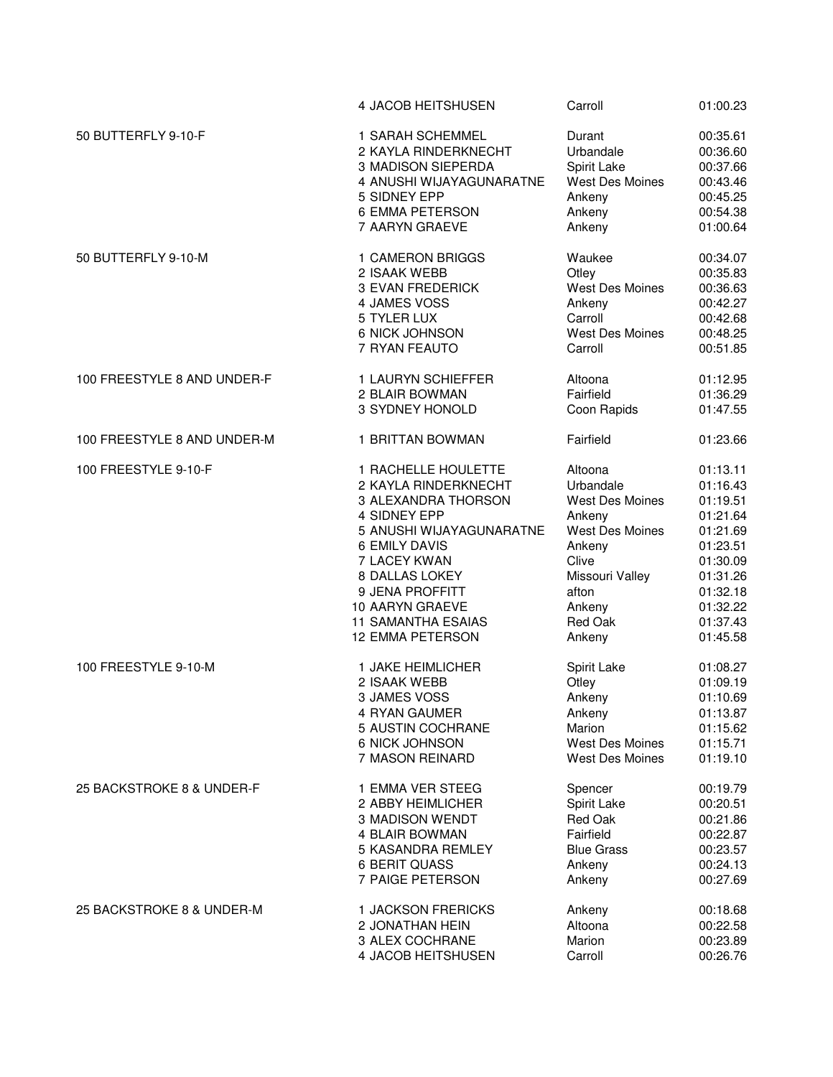|                             | 4 JACOB HEITSHUSEN        | Carroll                | 01:00.23 |
|-----------------------------|---------------------------|------------------------|----------|
| 50 BUTTERFLY 9-10-F         | 1 SARAH SCHEMMEL          | Durant                 | 00:35.61 |
|                             | 2 KAYLA RINDERKNECHT      | Urbandale              | 00:36.60 |
|                             | 3 MADISON SIEPERDA        | Spirit Lake            | 00:37.66 |
|                             | 4 ANUSHI WIJAYAGUNARATNE  | <b>West Des Moines</b> | 00:43.46 |
|                             | 5 SIDNEY EPP              | Ankeny                 | 00:45.25 |
|                             | 6 EMMA PETERSON           | Ankeny                 | 00:54.38 |
|                             | 7 AARYN GRAEVE            | Ankeny                 | 01:00.64 |
| 50 BUTTERFLY 9-10-M         | 1 CAMERON BRIGGS          | Waukee                 | 00:34.07 |
|                             | 2 ISAAK WEBB              | Otley                  | 00:35.83 |
|                             | <b>3 EVAN FREDERICK</b>   | <b>West Des Moines</b> | 00:36.63 |
|                             | 4 JAMES VOSS              | Ankeny                 | 00:42.27 |
|                             | 5 TYLER LUX               | Carroll                | 00:42.68 |
|                             | 6 NICK JOHNSON            | West Des Moines        | 00:48.25 |
|                             | 7 RYAN FEAUTO             | Carroll                | 00:51.85 |
| 100 FREESTYLE 8 AND UNDER-F | 1 LAURYN SCHIEFFER        | Altoona                | 01:12.95 |
|                             | 2 BLAIR BOWMAN            | Fairfield              | 01:36.29 |
|                             | 3 SYDNEY HONOLD           | Coon Rapids            | 01:47.55 |
| 100 FREESTYLE 8 AND UNDER-M | 1 BRITTAN BOWMAN          | Fairfield              | 01:23.66 |
| 100 FREESTYLE 9-10-F        | 1 RACHELLE HOULETTE       | Altoona                | 01:13.11 |
|                             | 2 KAYLA RINDERKNECHT      | Urbandale              | 01:16.43 |
|                             | 3 ALEXANDRA THORSON       | <b>West Des Moines</b> | 01:19.51 |
|                             | 4 SIDNEY EPP              | Ankeny                 | 01:21.64 |
|                             | 5 ANUSHI WIJAYAGUNARATNE  | <b>West Des Moines</b> | 01:21.69 |
|                             | <b>6 EMILY DAVIS</b>      | Ankeny                 | 01:23.51 |
|                             | 7 LACEY KWAN              | Clive                  | 01:30.09 |
|                             | 8 DALLAS LOKEY            | Missouri Valley        | 01:31.26 |
|                             | 9 JENA PROFFITT           | afton                  | 01:32.18 |
|                             | 10 AARYN GRAEVE           | Ankeny                 | 01:32.22 |
|                             | <b>11 SAMANTHA ESAIAS</b> | Red Oak                | 01:37.43 |
|                             | 12 EMMA PETERSON          | Ankeny                 | 01:45.58 |
| 100 FREESTYLE 9-10-M        | 1 JAKE HEIMLICHER         | Spirit Lake            | 01:08.27 |
|                             | 2 ISAAK WEBB              | Otley                  | 01:09.19 |
|                             | 3 JAMES VOSS              | Ankeny                 | 01:10.69 |
|                             | 4 RYAN GAUMER             | Ankeny                 | 01:13.87 |
|                             | 5 AUSTIN COCHRANE         | Marion                 | 01:15.62 |
|                             | <b>6 NICK JOHNSON</b>     | <b>West Des Moines</b> | 01:15.71 |
|                             | 7 MASON REINARD           | <b>West Des Moines</b> | 01:19.10 |
| 25 BACKSTROKE 8 & UNDER-F   | 1 EMMA VER STEEG          | Spencer                | 00:19.79 |
|                             | 2 ABBY HEIMLICHER         | Spirit Lake            | 00:20.51 |
|                             | <b>3 MADISON WENDT</b>    | Red Oak                | 00:21.86 |
|                             | 4 BLAIR BOWMAN            | Fairfield              | 00:22.87 |
|                             | 5 KASANDRA REMLEY         | <b>Blue Grass</b>      | 00:23.57 |
|                             | <b>6 BERIT QUASS</b>      | Ankeny                 | 00:24.13 |
|                             | 7 PAIGE PETERSON          | Ankeny                 | 00:27.69 |
| 25 BACKSTROKE 8 & UNDER-M   | 1 JACKSON FRERICKS        | Ankeny                 | 00:18.68 |
|                             | 2 JONATHAN HEIN           | Altoona                | 00:22.58 |
|                             | 3 ALEX COCHRANE           | Marion                 | 00:23.89 |
|                             | 4 JACOB HEITSHUSEN        | Carroll                | 00:26.76 |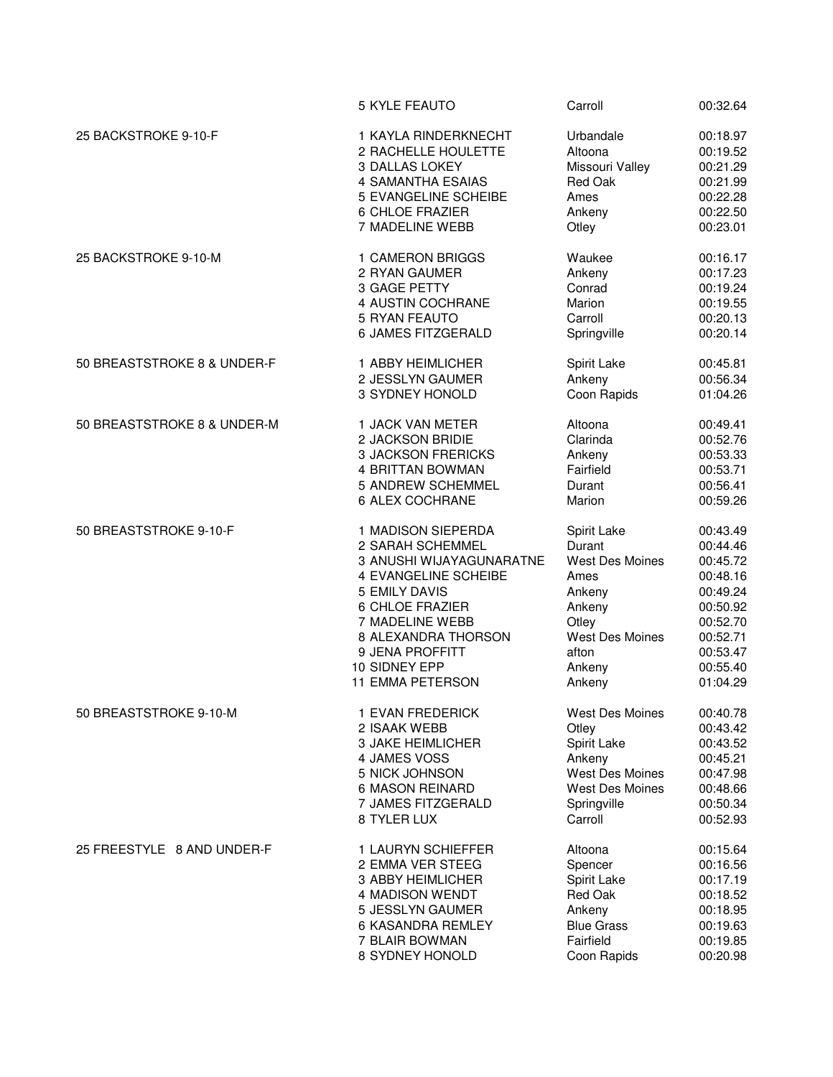|                             | <b>5 KYLE FEAUTO</b>        | Carroll                | 00:32.64 |
|-----------------------------|-----------------------------|------------------------|----------|
| 25 BACKSTROKE 9-10-F        | 1 KAYLA RINDERKNECHT        | Urbandale              | 00:18.97 |
|                             | 2 RACHELLE HOULETTE         | Altoona                | 00:19.52 |
|                             | 3 DALLAS LOKEY              | Missouri Valley        | 00:21.29 |
|                             | 4 SAMANTHA ESAIAS           | <b>Red Oak</b>         | 00:21.99 |
|                             | <b>5 EVANGELINE SCHEIBE</b> | Ames                   | 00:22.28 |
|                             | 6 CHLOE FRAZIER             | Ankeny                 | 00:22.50 |
|                             | 7 MADELINE WEBB             | Otley                  | 00:23.01 |
| 25 BACKSTROKE 9-10-M        | 1 CAMERON BRIGGS            | Waukee                 | 00:16.17 |
|                             | 2 RYAN GAUMER               | Ankeny                 | 00:17.23 |
|                             | 3 GAGE PETTY                | Conrad                 | 00:19.24 |
|                             | 4 AUSTIN COCHRANE           | Marion                 | 00:19.55 |
|                             | 5 RYAN FEAUTO               | Carroll                | 00:20.13 |
|                             | 6 JAMES FITZGERALD          | Springville            | 00:20.14 |
| 50 BREASTSTROKE 8 & UNDER-F | 1 ABBY HEIMLICHER           | Spirit Lake            | 00:45.81 |
|                             | 2 JESSLYN GAUMER            | Ankeny                 | 00:56.34 |
|                             | 3 SYDNEY HONOLD             | Coon Rapids            | 01:04.26 |
| 50 BREASTSTROKE 8 & UNDER-M | 1 JACK VAN METER            | Altoona                | 00:49.41 |
|                             | 2 JACKSON BRIDIE            | Clarinda               | 00:52.76 |
|                             | <b>3 JACKSON FRERICKS</b>   | Ankeny                 | 00:53.33 |
|                             | 4 BRITTAN BOWMAN            | Fairfield              | 00:53.71 |
|                             | 5 ANDREW SCHEMMEL           | Durant                 | 00:56.41 |
|                             | 6 ALEX COCHRANE             | Marion                 | 00:59.26 |
| 50 BREASTSTROKE 9-10-F      | 1 MADISON SIEPERDA          | Spirit Lake            | 00:43.49 |
|                             | 2 SARAH SCHEMMEL            | Durant                 | 00:44.46 |
|                             | 3 ANUSHI WIJAYAGUNARATNE    | <b>West Des Moines</b> | 00:45.72 |
|                             | 4 EVANGELINE SCHEIBE        | Ames                   | 00:48.16 |
|                             | 5 EMILY DAVIS               | Ankeny                 | 00:49.24 |
|                             | 6 CHLOE FRAZIER             | Ankeny                 | 00:50.92 |
|                             | 7 MADELINE WEBB             | Otley                  | 00:52.70 |
|                             | 8 ALEXANDRA THORSON         | <b>West Des Moines</b> | 00:52.71 |
|                             | 9 JENA PROFFITT             | afton                  | 00:53.47 |
|                             | 10 SIDNEY EPP               | Ankeny                 | 00:55.40 |
|                             | <b>11 EMMA PETERSON</b>     | Ankeny                 | 01:04.29 |
| 50 BREASTSTROKE 9-10-M      | 1 EVAN FREDERICK            | <b>West Des Moines</b> | 00:40.78 |
|                             | 2 ISAAK WEBB                | Otley                  | 00:43.42 |
|                             | <b>3 JAKE HEIMLICHER</b>    | Spirit Lake            | 00:43.52 |
|                             | 4 JAMES VOSS                | Ankeny                 | 00:45.21 |
|                             | 5 NICK JOHNSON              | West Des Moines        | 00:47.98 |
|                             | <b>6 MASON REINARD</b>      | West Des Moines        | 00:48.66 |
|                             | 7 JAMES FITZGERALD          | Springville            | 00:50.34 |
|                             | 8 TYLER LUX                 | Carroll                | 00:52.93 |
| 25 FREESTYLE 8 AND UNDER-F  | 1 LAURYN SCHIEFFER          | Altoona                | 00:15.64 |
|                             | 2 EMMA VER STEEG            | Spencer                | 00:16.56 |
|                             | 3 ABBY HEIMLICHER           | Spirit Lake            | 00:17.19 |
|                             | 4 MADISON WENDT             | Red Oak                | 00:18.52 |
|                             | 5 JESSLYN GAUMER            | Ankeny                 | 00:18.95 |
|                             | 6 KASANDRA REMLEY           | <b>Blue Grass</b>      | 00:19.63 |
|                             | 7 BLAIR BOWMAN              | Fairfield              | 00:19.85 |
|                             | 8 SYDNEY HONOLD             | Coon Rapids            | 00:20.98 |